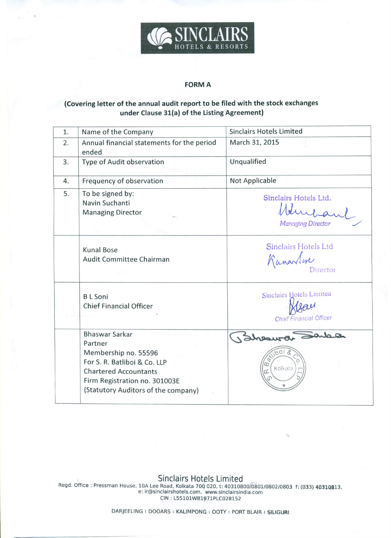

## **FORM A**

## (Covering letter of the annual audit report to be filed with the stock exchanges under Clause 31(a) of the Listing Agreement)

| 1. | Name of the Company                                                                                                                                                                              | <b>Sinclairs Hotels Limited</b>                                            |
|----|--------------------------------------------------------------------------------------------------------------------------------------------------------------------------------------------------|----------------------------------------------------------------------------|
| 2. | Annual financial statements for the period<br>ended                                                                                                                                              | March 31, 2015                                                             |
| 3. | Type of Audit observation                                                                                                                                                                        | Unqualified                                                                |
| 4. | Frequency of observation                                                                                                                                                                         | Not Applicable                                                             |
| 5. | To be signed by:<br>Navin Suchanti<br><b>Managing Director</b>                                                                                                                                   | Sinclairs Hotels Ltd.<br>$\Delta l$ $\Delta L$<br><b>Managing Director</b> |
|    | <b>Kunal Bose</b><br>Audit Committee Chairman                                                                                                                                                    | <b>Sinclairs Hotels Ltd</b><br>Kanandre<br>Director                        |
|    | <b>BL</b> Soni<br><b>Chief Financial Officer</b>                                                                                                                                                 | Sinclairs Hotels Limited<br><b>Chief Financial Officer</b>                 |
|    | <b>Bhaswar Sarkar</b><br>Partner<br>Membership no. 55596<br>For S. R. Batliboi & Co. LLP<br><b>Chartered Accountants</b><br>Firm Registration no. 301003E<br>(Statutory Auditors of the company) | Santa<br>Sheawar<br>$\infty$<br>$\infty$<br>Kolkata<br>K.                  |

**Sinclairs Hotels Limited** Regd. Office : Pressman House, 10A Lee Road, Kolkata 700 020, t: 40310800/0801/0802/0803 f: (033) 40310813,<br>e: ir@sinclairshotels.com, www.sinclairsindia.com<br>CIN : L55101WB1971PLC028152

DARJEELING | DOOARS | KALIMPONG | OOTY | PORT BLAIR | SILIGURI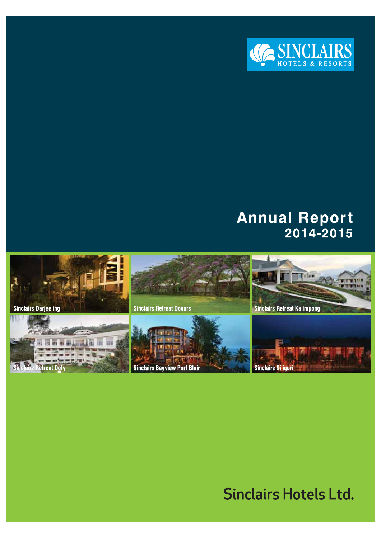

# **Annual Report** 2014-2015



# **Sinclairs Hotels Ltd.**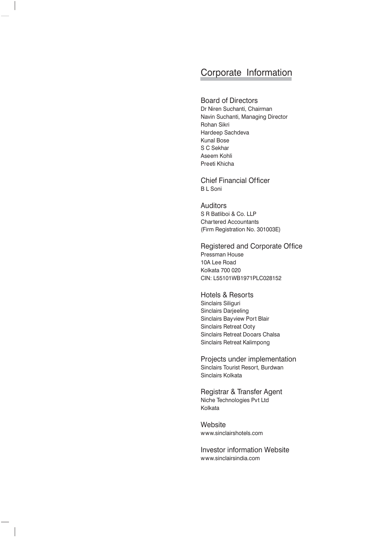# Corporate Information

## **Board of Directors**

Dr Niren Suchanti, Chairman Navin Suchanti, Managing Director Rohan Sikri Hardeep Sachdeva **Kunal Bose** S C Sekhar Aseem Kohli Preeti Khicha

**Chief Financial Officer BL** Soni

**Auditors** S R Batliboi & Co. LLP **Chartered Accountants** (Firm Registration No. 301003E)

Registered and Corporate Office Pressman House 10A Lee Road

Kolkata 700 020 CIN: L55101WB1971PLC028152

## **Hotels & Resorts**

Sinclairs Siliguri **Sinclairs Darjeeling** Sinclairs Bayview Port Blair **Sinclairs Retreat Ooty** Sinclairs Retreat Dooars Chalsa Sinclairs Retreat Kalimpong

Projects under implementation Sinclairs Tourist Resort, Burdwan Sinclairs Kolkata

Registrar & Transfer Agent Niche Technologies Pvt Ltd Kolkata

Website www.sinclairshotels.com

**Investor information Website** www.sinclairsindia.com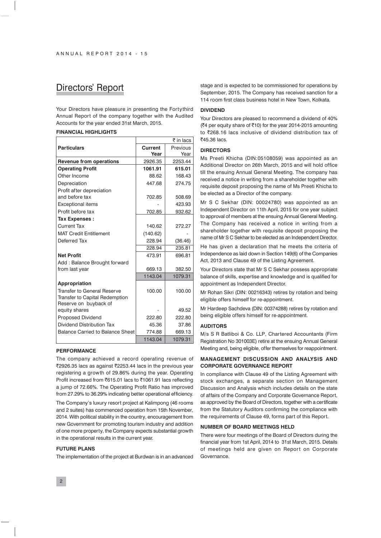# **Directors' Report**

Your Directors have pleasure in presenting the Fortythird Annual Report of the company together with the Audited Accounts for the year ended 31st March, 2015.

#### **FINANCIAL HIGHLIGHTS**

|                                  |                | ₹ in lacs |
|----------------------------------|----------------|-----------|
| <b>Particulars</b>               | <b>Current</b> | Previous  |
|                                  | Year           | Year      |
| <b>Revenue from operations</b>   | 2926.35        | 2253.44   |
| <b>Operating Profit</b>          | 1061.91        | 615.01    |
| Other Income                     | 88.62          | 168.43    |
| Depreciation                     | 447.68         | 274.75    |
| Profit after depreciation        |                |           |
| and before tax                   | 702.85         | 508.69    |
| <b>Exceptional items</b>         |                | 423.93    |
| Profit before tax                | 702.85         | 932.62    |
| <b>Tax Expenses:</b>             |                |           |
| <b>Current Tax</b>               | 140.62         | 272.27    |
| <b>MAT Credit Entitlement</b>    | (140.62)       |           |
| Deferred Tax                     | 228.94         | (36.46)   |
|                                  | 228.94         | 235.81    |
| <b>Net Profit</b>                | 473.91         | 696.81    |
| Add: Balance Brought forward     |                |           |
| from last year                   | 669.13         | 382.50    |
|                                  | 1143.04        | 1079.31   |
| Appropriation                    |                |           |
| Transfer to General Reserve      | 100.00         | 100.00    |
| Transfer to Capital Redemption   |                |           |
| Reserve on buyback of            |                |           |
| equity shares                    |                | 49.52     |
| <b>Proposed Dividend</b>         | 222.80         | 222.80    |
| Dividend Distribution Tax        | 45.36          | 37.86     |
| Balance Carried to Balance Sheet | 774.88         | 669.13    |
|                                  | 1143.04        | 1079.31   |

#### PERFORMANCE

The company achieved a record operating revenue of ₹2926.35 lacs as against ₹2253.44 lacs in the previous year registering a growth of 29.86% during the year. Operating Profit increased from ₹615.01 lacs to ₹1061.91 lacs reflecting a jump of 72.66%. The Operating Profit Ratio has improved from 27.29% to 36.29% indicating better operational efficiency.

The Company's luxury resort project at Kalimpong (46 rooms and 2 suites) has commenced operation from 15th November, 2014. With political stability in the country, encouragement from new Government for promoting tourism industry and addition of one more property, the Company expects substantial growth in the operational results in the current year.

#### **FUTURE PLANS**

The implementation of the project at Burdwan is in an advanced

stage and is expected to be commissioned for operations by September, 2015. The Company has received sanction for a 114 room first class business hotel in New Town, Kolkata.

#### **DIVIDEND**

Your Directors are pleased to recommend a dividend of 40% (₹4 per equity share of ₹10) for the year 2014-2015 amounting to ₹268.16 lacs inclusive of dividend distribution tax of ₹45.36 lacs

#### **DIRECTORS**

Ms Preeti Khicha (DIN:05108059) was appointed as an Additional Director on 26th March, 2015 and will hold office till the ensuing Annual General Meeting. The company has received a notice in writing from a shareholder together with requisite deposit proposing the name of Ms Preeti Khicha to be elected as a Director of the company.

Mr S C Sekhar (DIN: 00024780) was appointed as an Independent Director on 11th April, 2015 for one year subject to approval of members at the ensuing Annual General Meeting. The Company has received a notice in writing from a shareholder together with requisite deposit proposing the name of Mr S C Sekhar to be elected as an Independent Director.

He has given a declaration that he meets the criteria of Independence as laid down in Section 149(6) of the Companies Act, 2013 and Clause 49 of the Listing Agreement.

Your Directors state that Mr S C Sekhar possess appropriate balance of skills, expertise and knowledge and is qualified for appointment as Independent Director.

Mr Rohan Sikri (DIN: 00216343) retires by rotation and being eligible offers himself for re-appointment.

Mr Hardeep Sachdeva (DIN: 00374288) retires by rotation and being eligible offers himself for re-appointment.

#### **AUDITORS**

M/s S R Batliboi & Co. LLP. Chartered Accountants (Firm Registration No 301003E) retire at the ensuing Annual General Meeting and, being eligible, offer themselves for reappointment.

#### MANAGEMENT DISCUSSION AND ANALYSIS AND **CORPORATE GOVERNANCE REPORT**

In compliance with Clause 49 of the Listing Agreement with stock exchanges, a separate section on Management Discussion and Analysis which includes details on the state of affairs of the Company and Corporate Governance Report, as approved by the Board of Directors, together with a certificate from the Statutory Auditors confirming the compliance with the requirements of Clause 49, forms part of this Report.

#### **NUMBER OF BOARD MEETINGS HELD**

There were four meetings of the Board of Directors during the financial year from 1st April, 2014 to 31st March, 2015. Details of meetings held are given on Report on Corporate Governance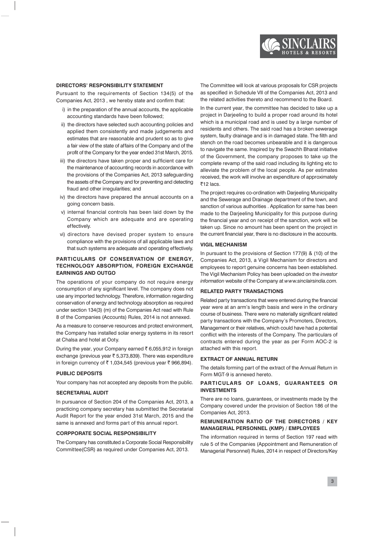#### **DIRECTORS' RESPONSIBILITY STATEMENT**

Pursuant to the requirements of Section 134(5) of the Companies Act, 2013, we hereby state and confirm that:

- i) in the preparation of the annual accounts, the applicable accounting standards have been followed;
- ii) the directors have selected such accounting policies and applied them consistently and made judgements and estimates that are reasonable and prudent so as to give a fair view of the state of affairs of the Company and of the profit of the Company for the year ended 31st March, 2015.
- iii) the directors have taken proper and sufficient care for the maintenance of accounting records in accordance with the provisions of the Companies Act, 2013 safeguarding the assets of the Company and for preventing and detecting fraud and other irregularities; and
- iv) the directors have prepared the annual accounts on a going concern basis.
- v) internal financial controls has been laid down by the Company which are adequate and are operating effectively.
- vi) directors have devised proper system to ensure compliance with the provisions of all applicable laws and that such systems are adequate and operating effectively.

#### PARTICULARS OF CONSERVATION OF ENERGY, **TECHNOLOGY ABSORPTION. FOREIGN EXCHANGE EARNINGS AND OUTGO**

The operations of your company do not require energy consumption of any significant level. The company does not use any imported technology. Therefore, information regarding conservation of energy and technology absorption as required under section 134(3) (m) of the Companies Act read with Rule 8 of the Companies (Accounts) Rules, 2014 is not annexed.

As a measure to conserve resources and protect environment, the Company has installed solar energy systems in its resort at Chalsa and hotel at Ooty.

During the year, your Company earned ₹6,055,912 in foreign exchange (previous year ₹ 5,373,839). There was expenditure in foreign currency of ₹1,034,545 (previous year ₹966,894).

#### **PUBLIC DEPOSITS**

Your company has not accepted any deposits from the public.

#### **SECRETARIAL AUDIT**

In pursuance of Section 204 of the Companies Act, 2013, a practicing company secretary has submitted the Secretarial Audit Report for the year ended 31st March, 2015 and the same is annexed and forms part of this annual report.

#### **CORPPORATE SOCIAL RESPONSIBILITY**

The Company has constituted a Corporate Social Responsibility Committee(CSR) as required under Companies Act, 2013.

The Committee will look at various proposals for CSR projects as specified in Schedule VII of the Companies Act, 2013 and the related activities thereto and recommend to the Board

In the current year, the committee has decided to take up a project in Darjeeling to build a proper road around its hotel which is a municipal road and is used by a large number of residents and others. The said road has a broken sewerage system, faulty drainage and is in damaged state. The filth and stench on the road becomes unbearable and it is dangerous to navigate the same. Inspired by the Swachh Bharat initiative of the Government, the company proposes to take up the complete revamp of the said road including its lighting etc to alleviate the problem of the local people. As per estimates received, the work will involve an expenditure of approximately ₹12 lacs.

The project requires co-ordination with Darjeeling Municipality and the Sewerage and Drainage department of the town, and sanction of various authorities . Application for same has been made to the Darjeeling Municipality for this purpose during the financial year and on receipt of the sanction, work will be taken up. Since no amount has been spent on the project in the current financial year, there is no disclosure in the accounts.

#### **VIGIL MECHANISM**

In pursuant to the provisions of Section 177(9) & (10) of the Companies Act, 2013, a Vigil Mechanism for directors and employees to report genuine concerns has been established. The Vigil Mechanism Policy has been uploaded on the investor information website of the Company at www.sinclairsindia.com.

#### **RELATED PARTY TRANSACTIONS**

Related party transactions that were entered during the financial year were at an arm's length basis and were in the ordinary course of business. There were no materially significant related party transactions with the Company's Promoters, Directors, Management or their relatives, which could have had a potential conflict with the interests of the Company. The particulars of contracts entered during the year as per Form AOC-2 is attached with this report.

#### **EXTRACT OF ANNUAL RETURN**

The details forming part of the extract of the Annual Return in Form MGT-9 is annexed hereto.

#### PARTICULARS OF LOANS, GUARANTEES OR **INVESTMENTS**

There are no loans, guarantees, or investments made by the Company covered under the provision of Section 186 of the Companies Act. 2013.

#### REMUNERATION RATIO OF THE DIRECTORS / KEY **MANAGERIAL PERSONNEL (KMP) / EMPLOYEES**

The information required in terms of Section 197 read with rule 5 of the Companies (Appointment and Remuneration of Managerial Personnel) Rules, 2014 in respect of Directors/Key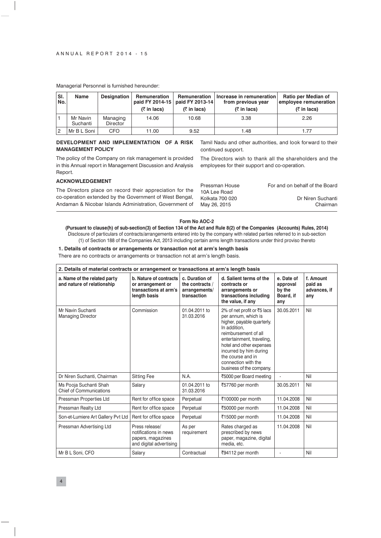#### ANNUAL REPORT 2014 - 15

| SI.<br>No. | Name                 | <b>Designation</b>          | Remuneration<br>$(5 \in \mathsf{In} \mathsf{lacs})$ | Remuneration<br>paid FY 2014-15 paid FY 2013-14<br>$(5 \in \mathsf{In} \mathsf{lacs})$ | Increase in remuneration<br>from previous year<br>$(5 \in \mathsf{In} \mathsf{lacs})$ | Ratio per Median of<br>employee remuneration<br>$(5 \in \mathsf{In} \mathsf{lacs})$ |  |
|------------|----------------------|-----------------------------|-----------------------------------------------------|----------------------------------------------------------------------------------------|---------------------------------------------------------------------------------------|-------------------------------------------------------------------------------------|--|
|            | Mr Navin<br>Suchanti | Managing<br><b>Director</b> | 14.06                                               | 10.68                                                                                  | 3.38                                                                                  | 2.26                                                                                |  |
| 2          | Mr B L Soni          | CFO.                        | 11.00                                               | 9.52                                                                                   | 1.48                                                                                  | 1.77                                                                                |  |

Managerial Personnel is furnished hereunder:

#### DEVELOPMENT AND IMPLEMENTATION OF A RISK Tamil Nadu and other authorities, and look forward to their **MANAGEMENT POLICY**

The policy of the Company on risk management is provided in this Annual report in Management Discussion and Analysis Report.

#### **ACKNOWLEDGEMENT**

The Directors place on record their appreciation for the co-operation extended by the Government of West Bengal, Andaman & Nicobar Islands Administration, Government of continued support.

The Directors wish to thank all the shareholders and the employees for their support and co-operation.

| For and on behalf of the Board |
|--------------------------------|
|                                |
| Dr Niren Suchanti              |
| Chairman                       |
|                                |

#### Form No AOC-2

(Pursuant to clause(h) of sub-section(3) of Section 134 of the Act and Rule 8(2) of the Companies (Accounts) Rules, 2014) Disclosure of particulars of contracts/arrangements entered into by the company with related parties referred to in sub-section (1) of Section 188 of the Companies Act, 2013 including certain arms length transactions under third proviso thereto

#### 1. Details of contracts or arrangements or transaction not at arm's length basis

There are no contracts or arrangements or transaction not at arm's length basis.

| 2. Details of material contracts or arrangement or transactions at arm's length basis |                                                                                         |                                                                   |                                                                                                                                                                                                                                                                                     |                                                      |                                             |
|---------------------------------------------------------------------------------------|-----------------------------------------------------------------------------------------|-------------------------------------------------------------------|-------------------------------------------------------------------------------------------------------------------------------------------------------------------------------------------------------------------------------------------------------------------------------------|------------------------------------------------------|---------------------------------------------|
| a. Name of the related party<br>and nature of relationship                            | b. Nature of contracts<br>or arrangement or<br>transactions at arm's<br>length basis    | c. Duration of<br>the contracts /<br>arrangements/<br>transaction | d. Salient terms of the<br>contracts or<br>arrangements or<br>transactions including<br>the value, if any                                                                                                                                                                           | e. Date of<br>approval<br>by the<br>Board, if<br>any | f. Amount<br>paid as<br>advances, if<br>any |
| Mr Navin Suchanti<br><b>Managing Director</b>                                         | Commission                                                                              | 01.04.2011 to<br>31.03.2016                                       | 2% of net profit or ₹5 lacs<br>per annum, which is<br>higher, payable quarterly.<br>In addition.<br>reimbursement of all<br>entertainment, traveling,<br>hotel and other expenses<br>incurred by him during<br>the course and in<br>connection with the<br>business of the company. | 30.05.2011                                           | Nil                                         |
| Dr Niren Suchanti, Chairman                                                           | <b>Sitting Fee</b>                                                                      | N.A.                                                              | ₹5000 per Board meeting                                                                                                                                                                                                                                                             |                                                      | Nil                                         |
| Ms Pooja Suchanti Shah<br><b>Chief of Communications</b>                              | Salary                                                                                  | 01.04.2011 to<br>31.03.2016                                       | ₹57760 per month                                                                                                                                                                                                                                                                    | 30.05.2011                                           | Nil                                         |
| Pressman Properties Ltd                                                               | Rent for office space                                                                   | Perpetual                                                         | ₹100000 per month                                                                                                                                                                                                                                                                   | 11.04.2008                                           | Nil                                         |
| Pressman Realty Ltd                                                                   | Rent for office space                                                                   | Perpetual                                                         | ₹50000 per month                                                                                                                                                                                                                                                                    | 11.04.2008                                           | Nil                                         |
| Son-et-Lumiere Art Gallery Pvt Ltd                                                    | Rent for office space                                                                   | Perpetual                                                         | ₹15000 per month                                                                                                                                                                                                                                                                    | 11.04.2008                                           | Nil                                         |
| Pressman Advertising Ltd                                                              | Press release/<br>notifications in news<br>papers, magazines<br>and digital advertising | As per<br>requirement                                             | Rates charged as<br>prescribed by news<br>paper, magazine, digital<br>media, etc.                                                                                                                                                                                                   | 11.04.2008                                           | Nil                                         |
| Mr B L Soni, CFO                                                                      | Salary                                                                                  | Contractual                                                       | ₹94112 per month                                                                                                                                                                                                                                                                    |                                                      | Nil                                         |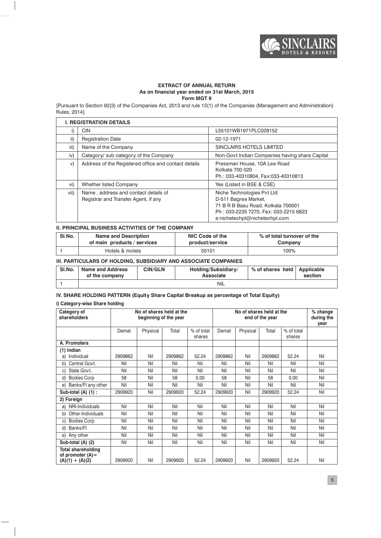

#### **EXTRACT OF ANNUAL RETURN** As on financial year ended on 31st March, 2015 Form MGT 9

[Pursuant to Section 92(3) of the Companies Act, 2013 and rule 12(1) of the Companies (Management and Administration) Rules, 2014]

|      | <b>I. REGISTRATION DETAILS</b>                                               |                                                                                                                                                                    |
|------|------------------------------------------------------------------------------|--------------------------------------------------------------------------------------------------------------------------------------------------------------------|
|      | <b>CIN</b>                                                                   | L55101WB1971PLC028152                                                                                                                                              |
| ii)  | <b>Registration Date</b>                                                     | 02-12-1971                                                                                                                                                         |
| iii) | Name of the Company                                                          | SINCLAIRS HOTELS LIMITED                                                                                                                                           |
| iv)  | Category/ sub category of the Company                                        | Non-Govt Indian Companies having share Capital                                                                                                                     |
| V)   | Address of the Registered office and contact details                         | Pressman House, 10A Lee Road<br>Kolkata 700 020<br>Ph: 033-40310804, Fax:033-40310813                                                                              |
| vi)  | Whether listed Company                                                       | Yes (Listed in BSE & CSE)                                                                                                                                          |
| vii) | Name, address and contact details of<br>Registrar and Transfer Agent, if any | Niche Technologies Pvt Ltd<br>D-511 Bagree Market,<br>71 B R B Basu Road, Kolkata 700001<br>Ph: 033-2235 7270, Fax: 033-2215 6823<br>e:nichetechpl@nichetechpl.com |

#### II. PRINCIPAL BUSINESS ACTIVITIES OF THE COMPANY

| SI.No. | <b>Name and Description</b><br>of main products / services | NIC Code of the<br>product/service | % of total turnover of the<br>Company |  |
|--------|------------------------------------------------------------|------------------------------------|---------------------------------------|--|
|        | Hotels & motels                                            | 55101                              | 100%                                  |  |

#### III. PARTICULARS OF HOLDING, SUBSIDIARY AND ASSOCIATE COMPANIES

| SI.No. | <b>Name and Address</b><br>of the company | <b>CIN/GLN</b> | Holding/Subsidiary/<br>Associate | % of shares held   Applicable | section |
|--------|-------------------------------------------|----------------|----------------------------------|-------------------------------|---------|
|        |                                           |                | <b>NIL</b>                       |                               |         |

IV. SHARE HOLDING PATTERN (Equity Share Capital Breakup as percentage of Total Equity) i) Category-wise Share holding

| Category of<br>shareholders                                           | No of shares held at the<br>beginning of the year |          |         | No of shares held at the<br>end of the year |         |          |         | % change<br>during the<br>year |     |
|-----------------------------------------------------------------------|---------------------------------------------------|----------|---------|---------------------------------------------|---------|----------|---------|--------------------------------|-----|
|                                                                       | Demat                                             | Physical | Total   | % of total<br>shares                        | Demat   | Physical | Total   | % of total<br>shares           |     |
| A. Promoters                                                          |                                                   |          |         |                                             |         |          |         |                                |     |
| $(1)$ Indian                                                          |                                                   |          |         |                                             |         |          |         |                                |     |
| a) Individual                                                         | 2909862                                           | Nil      | 2909862 | 52.24                                       | 2909862 | Nil      | 2909862 | 52.24                          | Nil |
| Central Govt.<br>b)                                                   | Nil                                               | Nil      | Nil     | Nil                                         | Nil     | Nil      | Nil     | Nil                            | Nil |
| State Govt.<br>C)                                                     | Nil                                               | Nil      | Nil     | Nil                                         | Nil     | Nil      | Nil     | Nil                            | Nil |
| <b>Bodies Corp</b><br>d)                                              | 58                                                | Nil      | 58      | 0.00                                        | 58      | Nil      | 58      | 0.00                           | Nil |
| Banks/FI any other<br>e)                                              | Nil                                               | Nil      | Nil     | Nil                                         | Nil     | Nil      | Nil     | Nil                            | Nil |
| Sub-total (A) (1) :                                                   | 2909920                                           | Nil      | 2909920 | 52.24                                       | 2909920 | Nil      | 2909920 | 52.24                          | Nil |
| 2) Foreign                                                            |                                                   |          |         |                                             |         |          |         |                                |     |
| a) NRI-Individuals                                                    | Nil                                               | Nil      | Nil     | Nil                                         | Nil     | Nil      | Nil     | Nil                            | Nil |
| b) Other-Individuals                                                  | Nil                                               | Nil      | Nil     | Nil                                         | Nil     | Nil      | Nil     | Nil                            | Nil |
| <b>Bodies Corp</b><br>C)                                              | Nil                                               | Nil      | Nil     | Nil                                         | Nil     | Nil      | Nil     | Nil                            | Nil |
| Banks/Fl<br>d)                                                        | Nil                                               | Nil      | Nil     | Nil                                         | Nil     | Nil      | Nil     | Nil                            | Nil |
| e) Any other                                                          | Nil                                               | Nil      | Nil     | Nil                                         | Nil     | Nil      | Nil     | Nil                            | Nil |
| Sub-total (A) (2)                                                     | Nil                                               | Nil      | Nil     | Nil                                         | Nil     | Nil      | Nil     | Nil                            | Nil |
| <b>Total shareholding</b><br>of promoter $(A)$ =<br>$(A)(1) + (A)(2)$ | 2909920                                           | Nil      | 2909920 | 52.24                                       | 2909920 | Nil      | 2909920 | 52.24                          | Nil |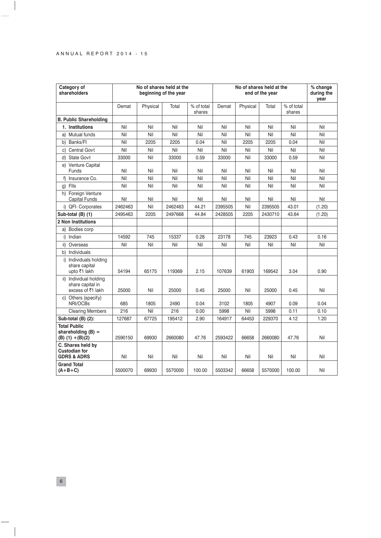#### ANNUAL REPORT 2014 - 15

 $\overline{\phantom{a}}$ 

| Category of<br>shareholders                                         | No of shares held at the<br>beginning of the year |          |         |                      | No of shares held at the<br>end of the year |          |         |                      | % change<br>during the<br>year |
|---------------------------------------------------------------------|---------------------------------------------------|----------|---------|----------------------|---------------------------------------------|----------|---------|----------------------|--------------------------------|
|                                                                     | Demat                                             | Physical | Total   | % of total<br>shares | Demat                                       | Physical | Total   | % of total<br>shares |                                |
| <b>B. Public Shareholding</b>                                       |                                                   |          |         |                      |                                             |          |         |                      |                                |
| 1. Institutions                                                     | Nil                                               | Nil      | Nil     | Nil                  | Nil                                         | Nil      | Nil     | Nil                  | Nil                            |
| a) Mutual funds                                                     | Nil                                               | Nil      | Nil     | Nil                  | Nil                                         | Nil      | Nil     | Nil                  | Nil                            |
| b) Banks/Fl                                                         | Nil                                               | 2205     | 2205    | 0.04                 | Nil                                         | 2205     | 2205    | 0.04                 | Nil                            |
| <b>Central Govt</b><br>C)                                           | Nil                                               | Nil      | Nil     | Nil                  | Nil                                         | Nil      | Nil     | Nil                  | Nil                            |
| d) State Govt                                                       | 33000                                             | Nil      | 33000   | 0.59                 | 33000                                       | Nil      | 33000   | 0.59                 | Nil                            |
| e) Venture Capital<br>Funds                                         | Nil                                               | Nil      | Nil     | Nil                  | Nil                                         | Nil      | Nil     | Nil                  | Nil                            |
| f) Insurance Co.                                                    | Nil                                               | Nil      | Nil     | Nil                  | Nil                                         | Nil      | Nil     | Nil                  | Nil                            |
| Flls<br>g)                                                          | Nil                                               | Nil      | Nil     | Nil                  | Nil                                         | Nil      | Nil     | Nil                  | Nil                            |
| h) Foreign Venture<br><b>Capital Funds</b>                          | Nil                                               | Nil      | Nil     | Nil                  | Nil                                         | Nil      | Nil     | Nil                  | Nil                            |
| i) QFI- Corporates                                                  | 2462463                                           | Nil      | 2462463 | 44.21                | 2395505                                     | Nil      | 2395505 | 43.01                | (1.20)                         |
| Sub-total (B) (1)                                                   | 2495463                                           | 2205     | 2497668 | 44.84                | 2428505                                     | 2205     | 2430710 | 43.64                | (1.20)                         |
| <b>2 Non Institutions</b>                                           |                                                   |          |         |                      |                                             |          |         |                      |                                |
| a) Bodies corp                                                      |                                                   |          |         |                      |                                             |          |         |                      |                                |
| i) Indian                                                           | 14592                                             | 745      | 15337   | 0.28                 | 23178                                       | 745      | 23923   | 0.43                 | 0.16                           |
| Overseas<br>ii)                                                     | Nil                                               | Nil      | Nil     | Nil                  | Nil                                         | Nil      | Nil     | Nil                  | Nil                            |
| b) Individuals                                                      |                                                   |          |         |                      |                                             |          |         |                      |                                |
| i) Individuals holding<br>share capital<br>upto ₹1 lakh             | 54194                                             | 65175    | 119369  | 2.15                 | 107639                                      | 61903    | 169542  | 3.04                 | 0.90                           |
| ii) Individual holding<br>share capital in<br>excess of ₹1 lakh     | 25000                                             | Nil      | 25000   | 0.45                 | 25000                                       | Nil      | 25000   | 0.45                 | Nil                            |
| c) Others (specify)<br>NRI/OCBs                                     | 685                                               | 1805     | 2490    | 0.04                 | 3102                                        | 1805     | 4907    | 0.09                 | 0.04                           |
| <b>Clearing Members</b>                                             | 216                                               | Nil      | 216     | 0.00                 | 5998                                        | Nil      | 5998    | 0.11                 | 0.10                           |
| Sub-total (B) (2):                                                  | 127687                                            | 67725    | 195412  | 2.90                 | 164917                                      | 64453    | 229370  | 4.12                 | 1.20                           |
| <b>Total Public</b><br>shareholding $(B)$ =<br>$(B)$ (1) +(B)(2)    | 2590150                                           | 69930    | 2660080 | 47.76                | 2593422                                     | 66658    | 2660080 | 47.76                | Nil                            |
| C. Shares held by<br><b>Custodian for</b><br><b>GDRS &amp; ADRS</b> | Nil                                               | Nil      | Nil     | Nil                  | Nil                                         | Nil      | Nil     | Nil                  | Nil                            |
| <b>Grand Total</b><br>$(A+B+C)$                                     | 5500070                                           | 69930    | 5570000 | 100.00               | 5503342                                     | 66658    | 5570000 | 100.00               | Nil                            |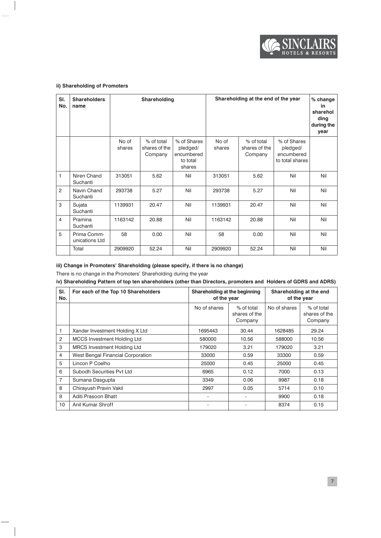

#### ii) Shareholding of Promoters

| SI.<br>No.     | <b>Shareholders</b><br>name   |                 | Shareholding                           |                                                             | Shareholding at the end of the year | % change<br>in<br>sharehol<br>ding<br>during the<br>year |                                                          |     |
|----------------|-------------------------------|-----------------|----------------------------------------|-------------------------------------------------------------|-------------------------------------|----------------------------------------------------------|----------------------------------------------------------|-----|
|                |                               | No of<br>shares | % of total<br>shares of the<br>Company | % of Shares<br>pledged/<br>encumbered<br>to total<br>shares | No of<br>shares                     | % of total<br>shares of the<br>Company                   | % of Shares<br>pledged/<br>encumbered<br>to total shares |     |
| 1              | Niren Chand<br>Suchanti       | 313051          | 5.62                                   | Nil                                                         | 313051                              | 5.62                                                     | Nil                                                      | Nil |
| 2              | Navin Chand<br>Suchanti       | 293738          | 5.27                                   | Nil                                                         | 293738                              | 5.27                                                     | Nil                                                      | Nil |
| 3              | Sujata<br>Suchanti            | 1139931         | 20.47                                  | Nil                                                         | 1139931                             | 20.47                                                    | Nil                                                      | Nil |
| $\overline{4}$ | Pramina<br>Suchanti           | 1163142         | 20.88                                  | Nil                                                         | 1163142                             | 20.88                                                    | Nil                                                      | Nil |
| 5              | Prima Comm-<br>unications Ltd | 58              | 0.00                                   | Nil                                                         | 58                                  | 0.00                                                     | Nil                                                      | Nil |
|                | Total                         | 2909920         | 52.24                                  | Nil                                                         | 2909920                             | 52.24                                                    | Nil                                                      | Nil |

#### iii) Change in Promoters' Shareholding (please specify, if there is no change)

There is no change in the Promoters' Shareholding during the year

iv) Shareholding Pattern of top ten shareholders (other than Directors, promoters and Holders of GDRS and ADRS)

| SI.<br>No.     | For each of the Top 10 Shareholders<br>Shareholding at the beginning<br>of the year |                |                                        |              | Shareholding at the end<br>of the year |  |  |
|----------------|-------------------------------------------------------------------------------------|----------------|----------------------------------------|--------------|----------------------------------------|--|--|
|                |                                                                                     | No of shares   | % of total<br>shares of the<br>Company | No of shares | % of total<br>shares of the<br>Company |  |  |
| 1              | Xander Investment Holding X Ltd                                                     | 1695443        | 30.44                                  | 1628485      | 29.24                                  |  |  |
| $\overline{2}$ | <b>MCCS Investment Holding Ltd</b>                                                  | 580000         | 10.56                                  | 588000       | 10.56                                  |  |  |
| 3              | <b>MRCS Investment Holding Ltd</b>                                                  | 179020         | 3.21                                   | 179020       | 3.21                                   |  |  |
| $\overline{4}$ | West Bengal Financial Corporation                                                   | 33000          | 0.59                                   | 33300        | 0.59                                   |  |  |
| 5              | Lincon P Coelho                                                                     | 25000          | 0.45                                   | 25000        | 0.45                                   |  |  |
| 6              | Subodh Securities Pvt Ltd                                                           | 6965           | 0.12                                   | 7000         | 0.13                                   |  |  |
| $\overline{7}$ | Sumana Dasgupta                                                                     | 3349           | 0.06                                   | 9987         | 0.18                                   |  |  |
| 8              | Chirayush Pravin Vakil                                                              | 2997           | 0.05                                   | 5714         | 0.10                                   |  |  |
| 9              | Aditi Prasoon Bhatt                                                                 | $\overline{a}$ | $\overline{\phantom{a}}$               | 9900         | 0.18                                   |  |  |
| 10             | Anil Kumar Shroff                                                                   |                |                                        | 8374         | 0.15                                   |  |  |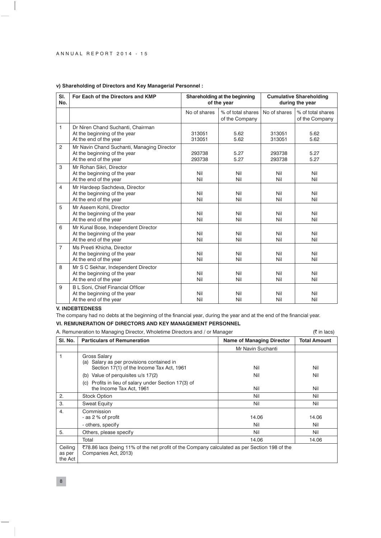| SI.<br>No.     | For Each of the Directors and KMP                                                                    |                  | Shareholding at the beginning<br>of the year | <b>Cumulative Shareholding</b><br>during the year |                                     |
|----------------|------------------------------------------------------------------------------------------------------|------------------|----------------------------------------------|---------------------------------------------------|-------------------------------------|
|                |                                                                                                      | No of shares     | % of total shares<br>of the Company          | No of shares                                      | % of total shares<br>of the Company |
| $\mathbf{1}$   | Dr Niren Chand Suchanti, Chairman<br>At the beginning of the year<br>At the end of the year          | 313051<br>313051 | 5.62<br>5.62                                 | 313051<br>313051                                  | 5.62<br>5.62                        |
| 2              | Mr Navin Chand Suchanti, Managing Director<br>At the beginning of the year<br>At the end of the year | 293738<br>293738 | 5.27<br>5.27                                 | 293738<br>293738                                  | 5.27<br>5.27                        |
| 3              | Mr Rohan Sikri, Director<br>At the beginning of the year<br>At the end of the year                   | Nil<br>Nil       | Nil<br>Nil                                   | Nil<br>Nil                                        | Nil<br>Nil                          |
| $\overline{4}$ | Mr Hardeep Sachdeva, Director<br>At the beginning of the year<br>At the end of the year              | Nil<br>Nil       | Nil<br>Nil                                   | Nil<br>Nil                                        | Nil<br>Nil                          |
| 5              | Mr Aseem Kohli, Director<br>At the beginning of the year<br>At the end of the year                   | Nil<br>Nil       | Nil<br>Nil                                   | Nil<br>Nil                                        | Nil<br>Nil                          |
| 6              | Mr Kunal Bose, Independent Director<br>At the beginning of the year<br>At the end of the year        | Nil<br>Nil       | Nil<br>Nil                                   | Nil<br>Nil                                        | Nil<br>Nil                          |
| $\overline{7}$ | Ms Preeti Khicha, Director<br>At the beginning of the year<br>At the end of the year                 | Nil<br>Nil       | Nil<br>Nil                                   | Nil<br>Nil                                        | Nil<br>Nil                          |
| 8              | Mr S C Sekhar, Independent Director<br>At the beginning of the year<br>At the end of the year        | Nil<br>Nil       | Nil<br>Nil                                   | Nil<br>Nil                                        | Nil<br>Nil                          |
| 9              | B L Soni, Chief Financial Officer<br>At the beginning of the year<br>At the end of the year          | Nil<br>Nil       | Nil<br>Nil                                   | Nil<br>Nil                                        | Nil<br>Nil                          |

#### v) Shareholding of Directors and Key Managerial Personnel:

#### **V. INDEBTEDNESS**

The company had no debts at the beginning of the financial year, during the year and at the end of the financial year. VI. REMUNERATION OF DIRECTORS AND KEY MANAGEMENT PERSONNEL

#### A. Remuneration to Managing Director, Wholetime Directors and / or Manager

| A. Remuneration to Managing Director, Wholetime Directors and / or Manager<br>(₹ in lacs) |                                                                                                                      |                                  |                     |  |
|-------------------------------------------------------------------------------------------|----------------------------------------------------------------------------------------------------------------------|----------------------------------|---------------------|--|
| SI. No.                                                                                   | <b>Particulars of Remuneration</b>                                                                                   | <b>Name of Managing Director</b> | <b>Total Amount</b> |  |
|                                                                                           |                                                                                                                      | Mr Navin Suchanti                |                     |  |
| 1                                                                                         | Gross Salary<br>(a) Salary as per provisions contained in<br>Section 17(1) of the Income Tax Act, 1961               | Nil                              | Nil                 |  |
|                                                                                           | (b) Value of perquisites u/s 17(2)                                                                                   | Nil                              | Nil                 |  |
|                                                                                           | Profits in lieu of salary under Section 17(3) of<br>(C)<br>the Income Tax Act, 1961                                  | Nil                              | Nil                 |  |
| 2.                                                                                        | <b>Stock Option</b>                                                                                                  | Nil                              | Nil                 |  |
| 3.                                                                                        | Sweat Equity                                                                                                         | Nil                              | Nil                 |  |
| 4.                                                                                        | Commission<br>- as 2 % of profit<br>- others, specify                                                                | 14.06<br>Nil                     | 14.06<br>Nil        |  |
| 5.                                                                                        | Others, please specify                                                                                               | Nil                              | Nil                 |  |
|                                                                                           | Total                                                                                                                | 14.06                            | 14.06               |  |
| Ceiling<br>as per<br>the Act                                                              | ₹78.86 lacs (being 11% of the net profit of the Company calculated as per Section 198 of the<br>Companies Act, 2013) |                                  |                     |  |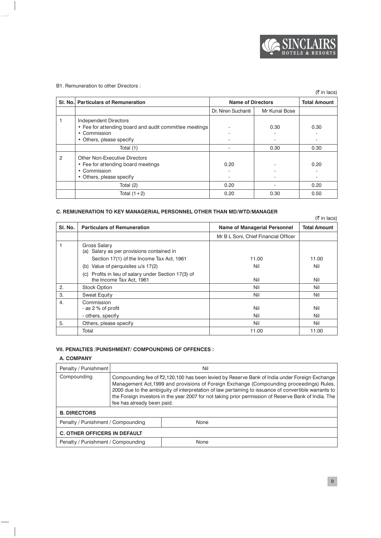

B1. Remuneration to other Directors :

 $\overline{\phantom{a}}$ 

|   |                                                        |                          |               | $(5 \in \mathsf{In} \mathsf{lacs})$ |
|---|--------------------------------------------------------|--------------------------|---------------|-------------------------------------|
|   | <b>SI. No. Particulars of Remuneration</b>             | <b>Name of Directors</b> |               | <b>Total Amount</b>                 |
|   |                                                        | Dr. Niren Suchanti       | Mr Kunal Bose |                                     |
|   | <b>Independent Directors</b>                           |                          |               |                                     |
|   | • Fee for attending board and audit committee meetings |                          | 0.30          | 0.30                                |
|   | • Commission                                           |                          |               |                                     |
|   | • Others, please specify                               |                          |               |                                     |
|   | Total (1)                                              |                          | 0.30          | 0.30                                |
| 2 | Other Non-Executive Directors                          |                          |               |                                     |
|   | • Fee for attending board meetings                     | 0.20                     |               | 0.20                                |
|   | • Commission                                           |                          |               |                                     |
|   | • Others, please specify                               |                          |               |                                     |
|   | Total (2)                                              | 0.20                     |               | 0.20                                |
|   | Total $(1+2)$                                          | 0.20                     | 0.30          | 0.50                                |

#### C. REMUNERATION TO KEY MANAGERIAL PERSONNEL OTHER THAN MD/WTD/MANAGER

| SI. No. | <b>Particulars of Remuneration</b>                                                  | <b>Name of Managerial Personnel</b>  | <b>Total Amount</b> |
|---------|-------------------------------------------------------------------------------------|--------------------------------------|---------------------|
|         |                                                                                     | Mr B L Soni, Chief Financial Officer |                     |
|         | Gross Salary<br>(a) Salary as per provisions contained in                           |                                      |                     |
|         | Section 17(1) of the Income Tax Act, 1961                                           | 11.00                                | 11.00               |
|         | Value of perquisites u/s 17(2)<br>(b)                                               | Nil                                  | Nil                 |
|         | Profits in lieu of salary under Section 17(3) of<br>(C)<br>the Income Tax Act, 1961 | Nil                                  | Nil                 |
| 2.      | <b>Stock Option</b>                                                                 | Nil                                  | Nil                 |
| 3.      | Sweat Equity                                                                        | Nil                                  | Nil                 |
| 4.      | Commission<br>- as 2 % of profit                                                    | Nil                                  | Nil                 |
|         | - others, specify                                                                   | Nil                                  | Nil                 |
| 5.      | Others, please specify                                                              | Nil                                  | Nil                 |
|         | Total                                                                               | 11.00                                | 11.00               |

#### VII. PENALTIES /PUNISHMENT/ COMPOUNDING OF OFFENCES :

#### A. COMPANY

| Nil                                                                                                                                                                                                                                                                                                                                                                                                                                     |      |  |  |  |
|-----------------------------------------------------------------------------------------------------------------------------------------------------------------------------------------------------------------------------------------------------------------------------------------------------------------------------------------------------------------------------------------------------------------------------------------|------|--|--|--|
| Compounding fee of ₹2,120,100 has been levied by Reserve Bank of India under Foreign Exchange<br>Management Act, 1999 and provisions of Foreign Exchange (Compounding proceedings) Rules,<br>2000 due to the ambiguity of interpretation of law pertaining to issuance of convertible warrants to<br>the Foreign investors in the year 2007 for not taking prior permission of Reserve Bank of India. The<br>fee has already been paid. |      |  |  |  |
|                                                                                                                                                                                                                                                                                                                                                                                                                                         |      |  |  |  |
| Penalty / Punishment / Compounding                                                                                                                                                                                                                                                                                                                                                                                                      | None |  |  |  |
| <b>C. OTHER OFFICERS IN DEFAULT</b>                                                                                                                                                                                                                                                                                                                                                                                                     |      |  |  |  |
| Penalty / Punishment / Compounding                                                                                                                                                                                                                                                                                                                                                                                                      | None |  |  |  |
| Penalty / Punishment                                                                                                                                                                                                                                                                                                                                                                                                                    |      |  |  |  |

(₹ in lacs)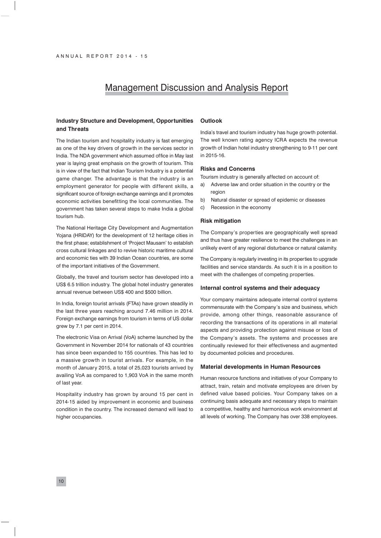# **Management Discussion and Analysis Report**

#### **Industry Structure and Development, Opportunities** and Threats

The Indian tourism and hospitality industry is fast emerging as one of the key drivers of growth in the services sector in India. The NDA government which assumed office in May last year is laying great emphasis on the growth of tourism. This is in view of the fact that Indian Tourism Industry is a potential game changer. The advantage is that the industry is an employment generator for people with different skills, a significant source of foreign exchange earnings and it promotes economic activities benefitting the local communities. The government has taken several steps to make India a global tourism hub.

The National Heritage City Development and Augmentation Yojana (HRIDAY) for the development of 12 heritage cities in the first phase; establishment of 'Project Mausam' to establish cross cultural linkages and to revive historic maritime cultural and economic ties with 39 Indian Ocean countries, are some of the important initiatives of the Government.

Globally, the travel and tourism sector has developed into a US\$ 6.5 trillion industry. The global hotel industry generates annual revenue between US\$ 400 and \$500 billion.

In India, foreign tourist arrivals (FTAs) have grown steadily in the last three years reaching around 7.46 million in 2014. Foreign exchange earnings from tourism in terms of US dollar grew by 7.1 per cent in 2014.

The electronic Visa on Arrival (VoA) scheme launched by the Government in November 2014 for nationals of 43 countries has since been expanded to 155 countries. This has led to a massive growth in tourist arrivals. For example, in the month of January 2015, a total of 25,023 tourists arrived by availing VoA as compared to 1,903 VoA in the same month of last year.

Hospitality industry has grown by around 15 per cent in 2014-15 aided by improvement in economic and business condition in the country. The increased demand will lead to higher occupancies.

#### Outlook

India's travel and tourism industry has huge growth potential. The well known rating agency ICRA expects the revenue growth of Indian hotel industry strengthening to 9-11 per cent in 2015-16

#### **Risks and Concerns**

Tourism industry is generally affected on account of:

- Adverse law and order situation in the country or the a) region
- Natural disaster or spread of epidemic or diseases b)
- $C)$ Recession in the economy

#### **Risk mitigation**

The Company's properties are geographically well spread and thus have greater resilience to meet the challenges in an unlikely event of any regional disturbance or natural calamity.

The Company is regularly investing in its properties to upgrade facilities and service standards. As such it is in a position to meet with the challenges of competing properties.

#### Internal control systems and their adequacy

Your company maintains adequate internal control systems commensurate with the Company's size and business, which provide, among other things, reasonable assurance of recording the transactions of its operations in all material aspects and providing protection against misuse or loss of the Company's assets. The systems and processes are continually reviewed for their effectiveness and augmented by documented policies and procedures.

#### **Material developments in Human Resources**

Human resource functions and initiatives of your Company to attract, train, retain and motivate employees are driven by defined value based policies. Your Company takes on a continuing basis adequate and necessary steps to maintain a competitive, healthy and harmonious work environment at all levels of working. The Company has over 338 employees.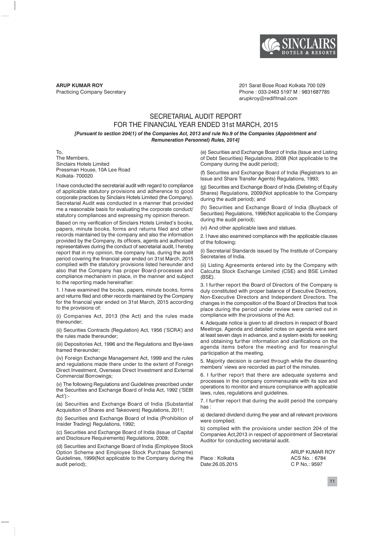

**ARUP KUMAR ROY Practicing Company Secretary**  201 Sarat Bose Boad Kolkata 700.029 Phone: 033-2463 5197 M: 9831687785 arupkrov@rediffmail.com

#### SECRETARIAL AUDIT REPORT FOR THE FINANCIAL YEAR ENDED 31st MARCH, 2015 [Pursuant to section 204(1) of the Companies Act, 2013 and rule No.9 of the Companies (Appointment and **Remuneration Personnel) Rules, 20141**

To.

The Members, Sinclairs Hotels Limited Pressman House, 10A Lee Road Kolkata- 700020

I have conducted the secretarial audit with regard to compliance of applicable statutory provisions and adherence to good corporate practices by Sinclairs Hotels Limited (the Company). Secretarial Audit was conducted in a manner that provided me a reasonable basis for evaluating the corporate conduct/ statutory compliances and expressing my opinion thereon.

Based on my verification of Sinclairs Hotels Limited's books. papers, minute books, forms and returns filed and other records maintained by the company and also the information provided by the Company, its officers, agents and authorized representatives during the conduct of secretarial audit, I hereby report that in my opinion, the company has, during the audit period covering the financial year ended on 31st March. 2015 complied with the statutory provisions listed hereunder and also that the Company has proper Board-processes and compliance mechanism in place, in the manner and subject to the reporting made hereinafter:

1. I have examined the books, papers, minute books, forms and returns filed and other records maintained by the Company for the financial year ended on 31st March, 2015 according to the provisions of:

(i) Companies Act, 2013 (the Act) and the rules made thereunder:

(ii) Securities Contracts (Regulation) Act, 1956 ('SCRA') and the rules made thereunder:

(iii) Depositories Act, 1996 and the Regulations and Bye-laws framed thereunder:

(iv) Foreign Exchange Management Act, 1999 and the rules and regulations made there under to the extent of Foreign Direct Investment. Overseas Direct Investment and External **Commercial Borrowings;** 

(v) The following Regulations and Guidelines prescribed under the Securities and Exchange Board of India Act, 1992 ('SEBI  $Act$ ):

(a) Securities and Exchange Board of India (Substantial Acquisition of Shares and Takeovers) Regulations, 2011;

(b) Securities and Exchange Board of India (Prohibition of Insider Trading) Regulations, 1992;

(c) Securities and Exchange Board of India (Issue of Capital and Disclosure Requirements) Regulations, 2009;

(d) Securities and Exchange Board of India (Employee Stock Option Scheme and Employee Stock Purchase Scheme) Guidelines, 1999(Not applicable to the Company during the audit period):

(e) Securities and Exchange Board of India (Issue and Listing of Debt Securities) Regulations, 2008 (Not applicable to the Company during the audit period);

(f) Securities and Exchange Board of India (Registrars to an Issue and Share Transfer Agents) Regulations, 1993;

(g) Securities and Exchange Board of India (Delisting of Equity Shares) Regulations, 2009(Not applicable to the Company during the audit period); and

(h) Securities and Exchange Board of India (Buyback of Securities) Regulations, 1998(Not applicable to the Company during the audit period);

(vi) And other applicable laws and statues.

2. I have also examined compliance with the applicable clauses of the following:

(i) Secretarial Standards issued by The Institute of Company Secretaries of India.

(ii) Listing Agreements entered into by the Company with Calcutta Stock Exchange Limited (CSE) and BSE Limited (BSE).

3. I further report the Board of Directors of the Company is duly constituted with proper balance of Executive Directors. Non-Executive Directors and Independent Directors. The changes in the composition of the Board of Directors that took place during the period under review were carried out in compliance with the provisions of the Act.

4. Adequate notice is given to all directors in respect of Board Meetings. Agenda and detailed notes on agenda were sent at least seven days in advance, and a system exists for seeking and obtaining further information and clarifications on the agenda items before the meeting and for meaningful participation at the meeting.

5. Maiority decision is carried through while the dissenting members' views are recorded as part of the minutes.

6. I further report that there are adequate systems and processes in the company commensurate with its size and operations to monitor and ensure compliance with applicable laws, rules, regulations and quidelines.

7. I further report that during the audit period the company has:

a) declared dividend during the year and all relevant provisions were complied;

b) complied with the provisions under section 204 of the Companies Act, 2013 in respect of appointment of Secretarial Auditor for conducting secretarial audit.

Place · Kolkata Date:26.05.2015 ARUP KUMAR ROY ACS No.: 6784 C P No.: 9597

 $11$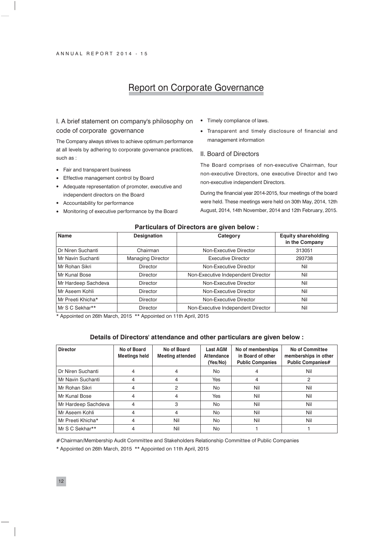## **Report on Corporate Governance**

## I. A brief statement on company's philosophy on code of corporate governance

The Company always strives to achieve optimum performance at all levels by adhering to corporate governance practices, such as :

- Fair and transparent business
- Effective management control by Board
- Adequate representation of promoter, executive and independent directors on the Board
- Accountability for performance
- Monitoring of executive performance by the Board
- Timely compliance of laws.  $\bullet$
- Transparent and timely disclosure of financial and management information

#### II. Board of Directors

The Board comprises of non-executive Chairman, four non-executive Directors, one executive Director and two non-executive independent Directors.

During the financial year 2014-2015, four meetings of the board were held. These meetings were held on 30th May, 2014, 12th August, 2014, 14th November, 2014 and 12th February, 2015.

| Particulars of Directors are given below : |  |  |  |  |  |  |
|--------------------------------------------|--|--|--|--|--|--|
|--------------------------------------------|--|--|--|--|--|--|

| Name                | Designation              | Category                           | <b>Equity shareholding</b><br>in the Company |  |
|---------------------|--------------------------|------------------------------------|----------------------------------------------|--|
| Dr Niren Suchanti   | Chairman                 | Non-Executive Director             | 313051                                       |  |
| Mr Navin Suchanti   | <b>Managing Director</b> | <b>Executive Director</b>          | 293738                                       |  |
| Mr Rohan Sikri      | <b>Director</b>          | Non-Executive Director             | Nil                                          |  |
| Mr Kunal Bose       | Director                 | Non-Executive Independent Director | Nil                                          |  |
| Mr Hardeep Sachdeva | <b>Director</b>          | Non-Executive Director             | Nil                                          |  |
| Mr Aseem Kohli      | Director                 | Non-Executive Director             | Nil                                          |  |
| Mr Preeti Khicha*   | <b>Director</b>          | Non-Executive Director             | Nil                                          |  |
| Mr S C Sekhar**     | <b>Director</b>          | Non-Executive Independent Director | Nil                                          |  |

\* Appointed on 26th March, 2015 \*\* Appointed on 11th April, 2015

#### Details of Directors' attendance and other particulars are given below :

| <b>Director</b>     | No of Board<br><b>Meetings held</b> | No of Board<br><b>Meeting attended</b> | <b>Last AGM</b><br>Attendance<br>(Yes/No) | No of memberships<br>in Board of other<br><b>Public Companies</b> | <b>No of Committee</b><br>memberships in other<br><b>Public Companies#</b> |
|---------------------|-------------------------------------|----------------------------------------|-------------------------------------------|-------------------------------------------------------------------|----------------------------------------------------------------------------|
| Dr Niren Suchanti   | 4                                   | 4                                      | No                                        |                                                                   | Nil                                                                        |
| Mr Navin Suchanti   | 4                                   | $\overline{4}$                         | <b>Yes</b>                                | 4                                                                 | 2                                                                          |
| Mr Rohan Sikri      | 4                                   | 2                                      | <b>No</b>                                 | Nil                                                               | Nil                                                                        |
| Mr Kunal Bose       | 4                                   | 4                                      | <b>Yes</b>                                | Nil                                                               | Nil                                                                        |
| Mr Hardeep Sachdeva | 4                                   | 3                                      | No                                        | Nil                                                               | Nil                                                                        |
| Mr Aseem Kohli      | 4                                   | 4                                      | No                                        | Nil                                                               | Nil                                                                        |
| Mr Preeti Khicha*   | 4                                   | Nil                                    | No                                        | Nil                                                               | Nil                                                                        |
| Mr S C Sekhar**     | 4                                   | Nil                                    | No                                        |                                                                   |                                                                            |

# Chairman/Membership Audit Committee and Stakeholders Relationship Committee of Public Companies

\* Appointed on 26th March, 2015 \*\* Appointed on 11th April, 2015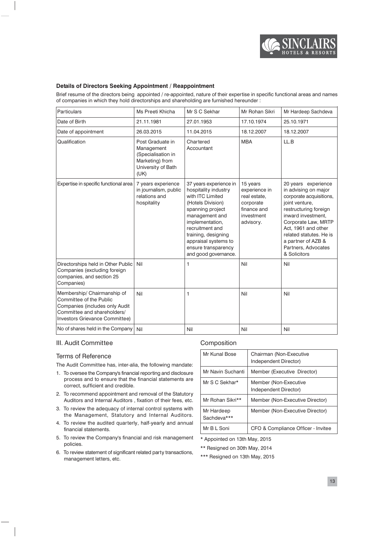

#### Details of Directors Seeking Appointment / Reappointment

Brief resume of the directors being appointed / re-appointed, nature of their expertise in specific functional areas and names of companies in which they hold directorships and shareholding are furnished hereunder:

| Particulars                                                                                                                                               | Ms Preeti Khicha                                                                                      | Mr S C Sekhar                                                                                                                                                                                                                                                     | Mr Rohan Sikri                                                                                   | Mr Hardeep Sachdeva                                                                                                                                                                                                                                                           |
|-----------------------------------------------------------------------------------------------------------------------------------------------------------|-------------------------------------------------------------------------------------------------------|-------------------------------------------------------------------------------------------------------------------------------------------------------------------------------------------------------------------------------------------------------------------|--------------------------------------------------------------------------------------------------|-------------------------------------------------------------------------------------------------------------------------------------------------------------------------------------------------------------------------------------------------------------------------------|
| Date of Birth                                                                                                                                             | 21.11.1981                                                                                            | 27.01.1953                                                                                                                                                                                                                                                        | 17.10.1974                                                                                       | 25.10.1971                                                                                                                                                                                                                                                                    |
| Date of appointment                                                                                                                                       | 26.03.2015                                                                                            | 11.04.2015                                                                                                                                                                                                                                                        | 18.12.2007                                                                                       | 18.12.2007                                                                                                                                                                                                                                                                    |
| Qualification                                                                                                                                             | Post Graduate in<br>Management<br>(Specialisation in<br>Marketing) from<br>University of Bath<br>(UK) | Chartered<br>Accountant                                                                                                                                                                                                                                           | <b>MBA</b>                                                                                       | LL.B                                                                                                                                                                                                                                                                          |
| Expertise in specific functional area                                                                                                                     | 7 years experience<br>in journalism, public<br>relations and<br>hospitality                           | 37 years experience in<br>hospitality industry<br>with ITC Limited<br>(Hotels Division)<br>spanning project<br>management and<br>implementation,<br>recruitment and<br>training, designing<br>appraisal systems to<br>ensure transparency<br>and good governance. | 15 years<br>experience in<br>real estate.<br>corporate<br>finance and<br>investment<br>advisory. | 20 years experience<br>in advising on major<br>corporate acquisitions,<br>joint venture,<br>restructuring foreign<br>inward investment.<br>Corporate Law, MRTP<br>Act. 1961 and other<br>related statutes. He is<br>a partner of AZB &<br>Partners, Advocates<br>& Solicitors |
| Directorships held in Other Public<br>Companies (excluding foreign<br>companies, and section 25<br>Companies)                                             | Nil                                                                                                   | 1                                                                                                                                                                                                                                                                 | Nil                                                                                              | Nil                                                                                                                                                                                                                                                                           |
| Membership/ Chairmanship of<br>Committee of the Public<br>Companies (includes only Audit<br>Committee and shareholders/<br>Investors Grievance Committee) | Nil                                                                                                   | 1                                                                                                                                                                                                                                                                 | Nil                                                                                              | Nil                                                                                                                                                                                                                                                                           |
| No of shares held in the Company                                                                                                                          | Nil                                                                                                   | Nil                                                                                                                                                                                                                                                               | Nil                                                                                              | Nil                                                                                                                                                                                                                                                                           |

#### III. Audit Committee

#### Terms of Reference

The Audit Committee has, inter-alia, the following mandate:

- 1. To oversee the Company's financial reporting and disclosure process and to ensure that the financial statements are correct, sufficient and credible.
- 2. To recommend appointment and removal of the Statutory Auditors and Internal Auditors, fixation of their fees, etc.
- 3. To review the adequacy of internal control systems with the Management, Statutory and Internal Auditors.
- 4. To review the audited quarterly, half-yearly and annual financial statements.
- 5. To review the Company's financial and risk management policies.
- 6. To review statement of significant related party transactions, management letters, etc.

#### Composition

| Mr Kunal Bose             | Chairman (Non-Executive<br>Independent Director) |
|---------------------------|--------------------------------------------------|
| Mr Navin Suchanti         | Member (Executive Director)                      |
| Mr S C Sekhar*            | Member (Non-Executive<br>Independent Director)   |
| Mr Rohan Sikri**          | Member (Non-Executive Director)                  |
| Mr Hardeep<br>Sachdeva*** | Member (Non-Executive Director)                  |
| Mr B L Soni               | CFO & Compliance Officer - Invitee               |

\* Appointed on 13th May, 2015

\*\* Resigned on 30th May, 2014

\*\*\* Resigned on 13th May, 2015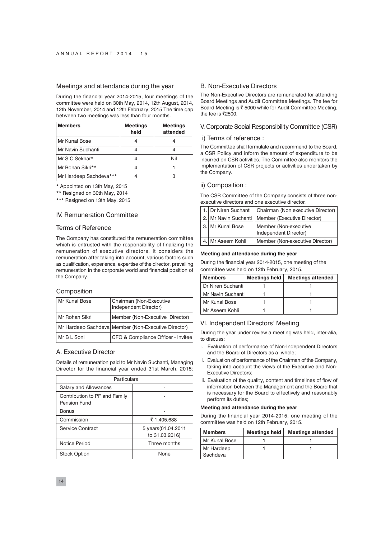#### Meetings and attendance during the year

During the financial year 2014-2015, four meetings of the committee were held on 30th May, 2014, 12th August, 2014, 12th November, 2014 and 12th February, 2015 The time gap between two meetings was less than four months.

| <b>Members</b>         | <b>Meetings</b><br>held | <b>Meetings</b><br>attended |
|------------------------|-------------------------|-----------------------------|
| Mr Kunal Bose          |                         |                             |
| Mr Navin Suchanti      |                         |                             |
| Mr S C Sekhar*         |                         | Nil                         |
| Mr Rohan Sikri**       |                         |                             |
| Mr Hardeep Sachdeva*** |                         |                             |

\* Appointed on 13th May, 2015

\*\* Resigned on 30th May, 2014

\*\*\* Resigned on 13th May, 2015

#### IV. Remuneration Committee

#### **Terms of Reference**

The Company has constituted the remuneration committee which is entrusted with the responsibility of finalizing the remuneration of executive directors. It considers the remuneration after taking into account, various factors such as qualification, experience, expertise of the director, prevailing remuneration in the corporate world and financial position of the Company.

#### Composition

| Mr Kunal Bose  | Chairman (Non-Executive<br>Independent Director)    |
|----------------|-----------------------------------------------------|
| Mr Rohan Sikri | Member (Non-Executive Director)                     |
|                | Mr Hardeep Sachdeva Member (Non-Executive Director) |
| Mr B L Soni    | CFO & Compliance Officer - Invitee                  |

#### A. Executive Director

Details of remuneration paid to Mr Navin Suchanti, Managing Director for the financial year ended 31st March, 2015:

| Particulars                                   |                                       |  |  |  |
|-----------------------------------------------|---------------------------------------|--|--|--|
| Salary and Allowances                         |                                       |  |  |  |
| Contribution to PF and Family<br>Pension Fund |                                       |  |  |  |
| <b>Bonus</b>                                  |                                       |  |  |  |
| Commission                                    | ₹1,405,688                            |  |  |  |
| Service Contract                              | 5 years (01.04.2011<br>to 31.03.2016) |  |  |  |
| Notice Period                                 | Three months                          |  |  |  |
| <b>Stock Option</b>                           | None                                  |  |  |  |

#### **B. Non-Executive Directors**

The Non-Executive Directors are remunerated for attending Board Meetings and Audit Committee Meetings. The fee for Board Meeting is ₹ 5000 while for Audit Committee Meeting, the fee is ₹2500.

#### V. Corporate Social Responsibility Committee (CSR)

#### i) Terms of reference :

The Committee shall formulate and recommend to the Board, a CSR Policy and inform the amount of expenditure to be incurred on CSR activities. The Committee also monitors the implementation of CSR projects or activities undertaken by the Company.

#### ii) Composition :

The CSR Committee of the Company consists of three nonexecutive directors and one executive director.

| 1. Dr Niren Suchanti | Chairman (Non executive Director)              |
|----------------------|------------------------------------------------|
| 2. Mr Navin Suchanti | Member (Executive Director)                    |
| 3. Mr Kunal Bose     | Member (Non-executive<br>Independent Director) |
| 4. Mr Aseem Kohli    | Member (Non-executive Director)                |

#### Meeting and attendance during the year

During the financial year 2014-2015, one meeting of the committee was held on 12th February, 2015.

| <b>Members</b>     | <b>Meetings held</b> | <b>Meetings attended</b> |
|--------------------|----------------------|--------------------------|
| Dr Niren Suchanti  |                      |                          |
| Mr Navin Suchantil |                      |                          |
| Mr Kunal Bose      |                      |                          |
| Mr Aseem Kohli     |                      |                          |

#### VI. Independent Directors' Meeting

During the year under review a meeting was held, inter-alia, to discuss:

- i. Evaluation of performance of Non-Independent Directors and the Board of Directors as a whole;
- ii. Evaluation of performance of the Chairman of the Company, taking into account the views of the Executive and Non-Executive Directors;
- iii. Evaluation of the quality, content and timelines of flow of information between the Management and the Board that is necessary for the Board to effectively and reasonably perform its duties;

#### Meeting and attendance during the year

During the financial year 2014-2015, one meeting of the committee was held on 12th February, 2015.

| <b>Members</b>         | <b>Meetings held</b> | <b>Meetings attended</b> |  |
|------------------------|----------------------|--------------------------|--|
| Mr Kunal Bose          |                      |                          |  |
| Mr Hardeep<br>Sachdeva |                      |                          |  |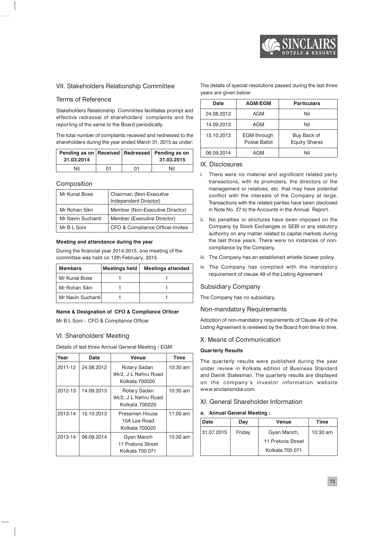

#### VII. Stakeholders Relationship Committee

#### Terms of Reference

Stakeholders Relationship Committee facilitates prompt and effective redressal of shareholders' complaints and the reporting of the same to the Board periodically.

The total number of complaints received and redressed to the shareholders during the year ended March 31, 2015 as under:

| 31.03.2014 |    |    | Pending as on   Received   Redressed   Pending as on<br>31.03.2015 |
|------------|----|----|--------------------------------------------------------------------|
| Nil        | በ1 | ი1 | Nil                                                                |

#### Composition

| Mr Kunal Bose     | Chairman (Non-Executive<br>Independent Director) |
|-------------------|--------------------------------------------------|
| Mr Rohan Sikri    | Member (Non-Executive Director)                  |
| Mr Navin Suchanti | Member (Executive Director)                      |
| Mr B L Soni       | CFO & Compliance Officer-Invitee                 |

#### Meeting and attendance during the year

During the financial year 2014-2015, one meeting of the committee was held on 12th February, 2015.

| <b>Members</b>     | <b>Meetings held</b> | <b>Meetings attended</b> |
|--------------------|----------------------|--------------------------|
| Mr Kunal Bose      |                      |                          |
| Mr Rohan Sikri     |                      |                          |
| Mr Navin Suchantil |                      |                          |

#### Name & Designation of CFO & Compliance Officer

Mr B L Soni - CFO & Compliance Officer

#### VI. Shareholders' Meeting

Details of last three Annual General Meeting / EGM:

| Year    | Date       | Venue                                                  | <b>Time</b> |
|---------|------------|--------------------------------------------------------|-------------|
| 2011-12 | 24.08.2012 | Rotary Sadan<br>94/2, J L Nehru Road<br>Kolkata 700020 | 10:30 am    |
| 2012-13 | 14.09.2013 | Rotary Sadan<br>94/2, J L Nehru Road<br>Kolkata 700020 | $10:30$ am  |
| 2013-14 | 15.10.2013 | Pressman House<br>10A Lee Road<br>Kolkata 700020       | 11.00 am    |
| 2013-14 | 06.09.2014 | Gyan Manch<br>11 Pretoria Street<br>Kolkata 700 071    | $10:30$ am  |

The details of special resolutions passed during the last three years are given below:

| Date       | <b>AGM/EGM</b>                      | <b>Particulars</b>                  |
|------------|-------------------------------------|-------------------------------------|
| 24.08.2012 | AGM                                 | Nil                                 |
| 14.09.2013 | AGM                                 | Nil                                 |
| 15.10.2013 | <b>EGM</b> through<br>Postal Ballot | Buy Back of<br><b>Equity Shares</b> |
| 06.09.2014 | AGM                                 | Nil                                 |

#### IX. Disclosures

- i. There were no material and significant related party transactions, with its promoters, the directors or the management or relatives, etc. that may have potential conflict with the interests of the Company at large. Transactions with the related parties have been disclosed in Note No. 27 to the Accounts in the Annual Report.
- ii. No penalties or strictures have been imposed on the Company by Stock Exchanges or SEBI or any statutory authority on any matter related to capital markets during the last three years. There were no instances of noncompliance by the Company.
- iii. The Company has an established whistle blower policy.
- iv. The Company has complied with the mandatory requirement of clause 49 of the Listing Agreement.

#### **Subsidiary Company**

The Company has no subsidiary.

#### Non-mandatory Requirements

Adoption of non-mandatory requirements of Clause 49 of the Listing Agreement is reviewed by the Board from time to time.

#### X. Means of Communication

#### **Quarterly Results**

The quarterly results were published during the year under review in Kolkata edition of Business Standard and Dainik Statesman. The quarterly results are displayed on the company's investor information website www.sinclairsindia.com.

#### XI. General Shareholder Information

#### a. Annual General Meeting:

| Date       | Dav    | <b>Venue</b>       | Time     |
|------------|--------|--------------------|----------|
| 31.07.2015 | Friday | Gyan Manch,        | 10:30 am |
|            |        | 11 Pretoria Street |          |
|            |        | Kolkata 700 071    |          |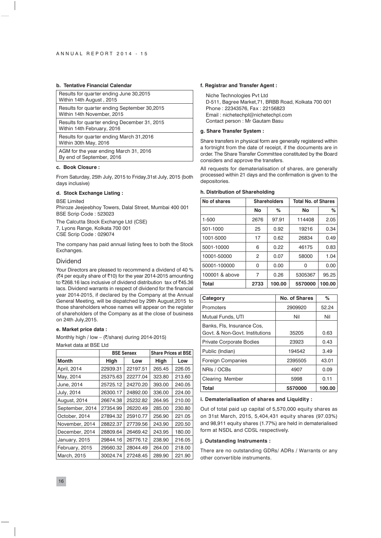#### b. Tentative Financial Calendar

Results for quarter ending June 30,2015

Within 14th August, 2015

Results for quarter ending September 30.2015

Within 14th November, 2015

Results for quarter ending December 31, 2015 Within 14th February, 2016

Results for quarter ending March 31,2016

Within 30th May, 2016

AGM for the year ending March 31, 2016

By end of September, 2016

#### c. Book Closure:

From Saturday, 25th July, 2015 to Friday, 31st July, 2015 (both days inclusive)

#### d. Stock Exchange Listing:

**BSE Limited** 

Phiroze Jeejeebhoy Towers, Dalal Street, Mumbai 400 001 BSE Scrip Code: 523023

The Calcutta Stock Exchange Ltd (CSE) 7, Lyons Range, Kolkata 700 001 CSE Scrip Code: 029074

The company has paid annual listing fees to both the Stock Exchanges.

#### Dividend

Your Directors are pleased to recommend a dividend of 40 % (₹4 per equity share of ₹10) for the year 2014-2015 amounting to ₹268.16 lacs inclusive of dividend distribution tax of ₹45.36 lacs. Dividend warrants in respect of dividend for the financial year 2014-2015, if declared by the Company at the Annual General Meeting, will be dispatched by 29th August, 2015 to those shareholders whose names will appear on the register of shareholders of the Company as at the close of business on 24th July, 2015.

#### e. Market price data :

Monthly high / low -  $(\overline{\zeta}/\text{share})$  during 2014-2015)

Market data at BSE Ltd

|                 | <b>BSE Sensex</b> |          | <b>Share Prices at BSE</b> |        |
|-----------------|-------------------|----------|----------------------------|--------|
| Month           | High              | Low      | High                       | Low    |
| April, 2014     | 22939.31          | 22197.51 | 265.45                     | 226.05 |
| May, 2014       | 25375.63          | 22277.04 | 323.80                     | 213.60 |
| June, 2014      | 25725.12          | 24270.20 | 393.00                     | 240.05 |
| July, 2014      | 26300.17          | 24892.00 | 336.00                     | 224.00 |
| August, 2014    | 26674.38          | 25232.82 | 264.95                     | 210.00 |
| September, 2014 | 27354.99          | 26220.49 | 285.00                     | 230.80 |
| October, 2014   | 27894.32          | 25910.77 | 256.90                     | 221.05 |
| November, 2014  | 28822.37          | 27739.56 | 243.90                     | 220.50 |
| December, 2014  | 28809.64          | 26469.42 | 243.95                     | 180.00 |
| January, 2015   | 29844.16          | 26776.12 | 238.90                     | 216.05 |
| February, 2015  | 29560.32          | 28044.49 | 264.00                     | 218.00 |
| March, 2015     | 30024.74          | 27248.45 | 289.90                     | 221.90 |

#### f. Registrar and Transfer Agent:

Niche Technologies Pyt Ltd D-511, Bagree Market, 71, BRBB Road, Kolkata 700 001 Phone: 22343576, Fax: 22156823 Email: nichetechpl@nichetechpl.com Contact person : Mr Gautam Basu

#### g. Share Transfer System :

Share transfers in physical form are generally registered within a fortnight from the date of receipt, if the documents are in order. The Share Transfer Committee constituted by the Board considers and approve the transfers.

All requests for dematerialisation of shares, are generally processed within 21 days and the confirmation is given to the depositories.

#### h. Distribution of Shareholding

| No of shares   | <b>Shareholders</b> |        | <b>Total No. of Shares</b> |        |
|----------------|---------------------|--------|----------------------------|--------|
|                | <b>No</b>           | ℅      | <b>No</b>                  | %      |
| 1-500          | 2676                | 97.91  | 114408                     | 2.05   |
| 501-1000       | 25                  | 0.92   | 19216                      | 0.34   |
| 1001-5000      | 17                  | 0.62   | 26834                      | 0.49   |
| 5001-10000     | 6                   | 0.22   | 46175                      | 0.83   |
| 10001-50000    | 2                   | 0.07   | 58000                      | 1.04   |
| 50001-100000   | 0                   | 0.00   | Ω                          | 0.00   |
| 100001 & above | 7                   | 0.26   | 5305367                    | 95.25  |
| Total          | 2733                | 100.00 | 5570000                    | 100.00 |

| Category                                                     | No. of Shares | %      |
|--------------------------------------------------------------|---------------|--------|
| Promoters                                                    | 2909920       | 52.24  |
| Mutual Funds, UTI                                            | Nil           | Nil    |
| Banks, Fls, Insurance Cos,<br>Govt. & Non-Govt. Institutions | 35205         | 0.63   |
| <b>Private Corporate Bodies</b>                              | 23923         | 0.43   |
| Public (Indian)                                              | 194542        | 3.49   |
| <b>Foreign Companies</b>                                     | 2395505       | 43.01  |
| NRIs / OCBs                                                  | 4907          | 0.09   |
| <b>Clearing Member</b>                                       | 5998          | 0.11   |
| Total                                                        | 5570000       | 100.00 |

#### i. Dematerialisation of shares and Liquidity :

Out of total paid up capital of 5,570,000 equity shares as on 31st March, 2015, 5,404,431 equity shares (97.03%) and 98,911 equity shares (1.77%) are held in dematerialised form at NSDL and CDSL respectively.

#### j. Outstanding Instruments :

There are no outstanding GDRs/ ADRs / Warrants or any other convertible instruments.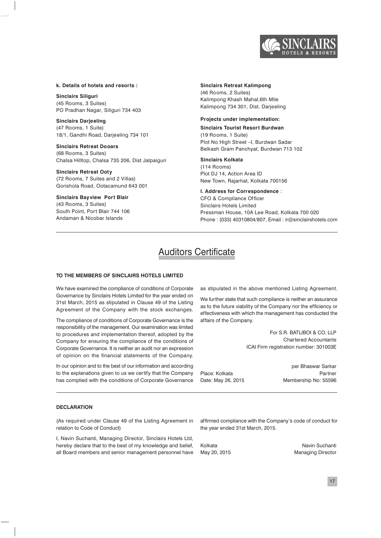

#### k. Details of hotels and resorts :

**Sinclairs Siliguri** (45 Rooms, 3 Suites) PO Pradhan Nagar, Siliguri 734 403

**Sinclairs Darjeeling** (47 Rooms, 1 Suite) 18/1, Gandhi Road, Darjeeling 734 101

**Sinclairs Retreat Dooars** (68 Rooms, 3 Suites) Chalsa Hilltop, Chalsa 735 206, Dist Jalpaiguri

#### **Sinclairs Retreat Ooty**

(72 Rooms, 7 Suites and 2 Villas) Gorishola Road, Ootacamund 643 001

**Sinclairs Bayview Port Blair** (43 Rooms, 3 Suites) South Point, Port Blair 744 106 Andaman & Nicobar Islands

#### **Sinclairs Retreat Kalimpong**

(46 Rooms, 2 Suites) Kalimpong Khash Mahal, 6th Mile Kalimpong 734 301, Dist. Darjeeling

#### Projects under implementation:

**Sinclairs Tourist Resort Burdwan** (19 Rooms, 1 Suite) Plot No High Street -I. Burdwan Sadar Belkash Gram Panchyat, Burdwan 713 102

#### **Sinclairs Kolkata**

(114 Rooms) Plot DJ 14, Action Area ID New Town, Rajarhat, Kolkata 700156

#### I. Address for Correspondence :

CFO & Compliance Officer **Sinclairs Hotels Limited** Pressman House, 10A Lee Road, Kolkata 700 020 Phone: (033) 40310804/807, Email: ir@sinclairshotels.com

## **Auditors Certificate**

#### TO THE MEMBERS OF SINCLAIRS HOTELS LIMITED

We have examined the compliance of conditions of Corporate Governance by Sinclairs Hotels Limited for the year ended on 31st March, 2015 as stipulated in Clause 49 of the Listing Agreement of the Company with the stock exchanges.

The compliance of conditions of Corporate Governance is the responsibility of the management. Our examination was limited to procedures and implementation thereof, adopted by the Company for ensuring the compliance of the conditions of Corporate Governance. It is neither an audit nor an expression of opinion on the financial statements of the Company.

In our opinion and to the best of our information and according to the explanations given to us we certify that the Company has complied with the conditions of Corporate Governance as stipulated in the above mentioned Listing Agreement.

We further state that such compliance is neither an assurance as to the future viability of the Company nor the efficiency or effectiveness with which the management has conducted the affairs of the Company.

> For S.B. BATLIBOL& CO. LLP **Chartered Accountants** ICAI Firm registration number: 301003E

Place: Kolkata Date: May 26, 2015

per Bhaswar Sarkar Partner Membership No: 55596

#### **DECLARATION**

(As required under Clause 49 of the Listing Agreement in relation to Code of Conduct)

I, Navin Suchanti, Managing Director, Sinclairs Hotels Ltd, hereby declare that to the best of my knowledge and belief, all Board members and senior management personnel have

affirmed compliance with the Company's code of conduct for the year ended 31st March, 2015.

Kolkata May 20, 2015

Navin Suchanti **Managing Director**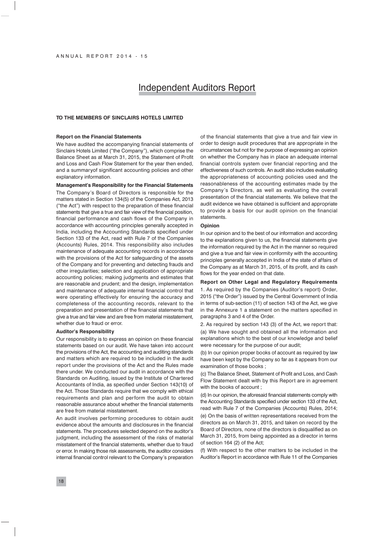## **Independent Auditors Report**

#### TO THE MEMBERS OF SINCLAIRS HOTELS LIMITED

#### **Report on the Financial Statements**

We have audited the accompanying financial statements of Sinclairs Hotels Limited ("the Company"), which comprise the Balance Sheet as at March 31, 2015, the Statement of Profit and Loss and Cash Flow Statement for the year then ended, and a summaryof significant accounting policies and other explanatory information.

#### Management's Responsibility for the Financial Statements

The Company's Board of Directors is responsible for the matters stated in Section 134(5) of the Companies Act, 2013 ("the Act") with respect to the preparation of these financial statements that give a true and fair view of the financial position, financial performance and cash flows of the Company in accordance with accounting principles generally accepted in India, including the Accounting Standards specified under Section 133 of the Act, read with Rule 7 of the Companies (Accounts) Rules, 2014. This responsibility also includes maintenance of adequate accounting records in accordance with the provisions of the Act for safeguarding of the assets of the Company and for preventing and detecting frauds and other irregularities; selection and application of appropriate accounting policies; making judgments and estimates that are reasonable and prudent; and the design, implementation and maintenance of adequate internal financial control that were operating effectively for ensuring the accuracy and completeness of the accounting records, relevant to the preparation and presentation of the financial statements that give a true and fair view and are free from material misstatement, whether due to fraud or error.

#### **Auditor's Responsibility**

Our responsibility is to express an opinion on these financial statements based on our audit. We have taken into account the provisions of the Act, the accounting and auditing standards and matters which are required to be included in the audit report under the provisions of the Act and the Rules made there under. We conducted our audit in accordance with the Standards on Auditing, issued by the Institute of Chartered Accountants of India, as specified under Section 143(10) of the Act. Those Standards require that we comply with ethical requirements and plan and perform the audit to obtain reasonable assurance about whether the financial statements are free from material misstatement

An audit involves performing procedures to obtain audit evidence about the amounts and disclosures in the financial statements. The procedures selected depend on the auditor's judgment, including the assessment of the risks of material misstatement of the financial statements, whether due to fraud or error. In making those risk assessments, the auditor considers internal financial control relevant to the Company's preparation

of the financial statements that give a true and fair view in order to design audit procedures that are appropriate in the circumstances but not for the purpose of expressing an opinion on whether the Company has in place an adequate internal financial controls system over financial reporting and the effectiveness of such controls. An audit also includes evaluating the appropriateness of accounting policies used and the reasonableness of the accounting estimates made by the Company's Directors, as well as evaluating the overall presentation of the financial statements. We believe that the audit evidence we have obtained is sufficient and appropriate to provide a basis for our audit opinion on the financial statements

#### Opinion

In our opinion and to the best of our information and according to the explanations given to us, the financial statements give the information required by the Act in the manner so required and give a true and fair view in conformity with the accounting principles generally accepted in India of the state of affairs of the Company as at March 31, 2015, of its profit, and its cash flows for the year ended on that date.

#### Report on Other Legal and Regulatory Requirements

1. As required by the Companies (Auditor's report) Order, 2015 ("the Order") issued by the Central Government of India in terms of sub-section (11) of section 143 of the Act, we give in the Annexure 1 a statement on the matters specified in paragraphs 3 and 4 of the Order.

2. As required by section 143 (3) of the Act, we report that: (a) We have sought and obtained all the information and explanations which to the best of our knowledge and belief were necessary for the purpose of our audit;

(b) In our opinion proper books of account as required by law have been kept by the Company so far as it appears from our examination of those books :

(c) The Balance Sheet, Statement of Profit and Loss, and Cash Flow Statement dealt with by this Report are in agreement with the books of account:

(d) In our opinion, the aforesaid financial statements comply with the Accounting Standards specified under section 133 of the Act, read with Rule 7 of the Companies (Accounts) Rules, 2014;

(e) On the basis of written representations received from the directors as on March 31, 2015, and taken on record by the Board of Directors, none of the directors is disqualified as on March 31, 2015, from being appointed as a director in terms of section 164 (2) of the Act;

(f) With respect to the other matters to be included in the Auditor's Report in accordance with Rule 11 of the Companies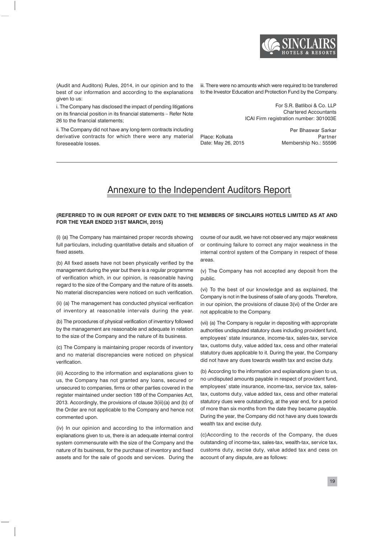

(Audit and Auditors) Rules, 2014, in our opinion and to the best of our information and according to the explanations given to us:

i. The Company has disclosed the impact of pending litigations on its financial position in its financial statements - Refer Note 26 to the financial statements:

ii. The Company did not have any long-term contracts including derivative contracts for which there were any material foreseeable losses.

iii. There were no amounts which were required to be transferred to the Investor Education and Protection Fund by the Company.

> For S.R. Batliboi & Co. LLP **Chartered Accountants** ICAI Firm registration number: 301003E

Place: Kolkata Date: May 26, 2015

Per Bhaswar Sarkar Partner Membership No.: 55596

# Annexure to the Independent Auditors Report

#### (REFERRED TO IN OUR REPORT OF EVEN DATE TO THE MEMBERS OF SINCLAIRS HOTELS LIMITED AS AT AND FOR THE YEAR ENDED 31ST MARCH, 2015)

(i) (a) The Company has maintained proper records showing full particulars, including quantitative details and situation of fixed assets

(b) All fixed assets have not been physically verified by the management during the year but there is a regular programme of verification which, in our opinion, is reasonable having regard to the size of the Company and the nature of its assets. No material discrepancies were noticed on such verification.

(ii) (a) The management has conducted physical verification of inventory at reasonable intervals during the year.

(b) The procedures of physical verification of inventory followed by the management are reasonable and adequate in relation to the size of the Company and the nature of its business.

(c) The Company is maintaining proper records of inventory and no material discrepancies were noticed on physical verification.

(iii) According to the information and explanations given to us, the Company has not granted any loans, secured or unsecured to companies, firms or other parties covered in the register maintained under section 189 of the Companies Act. 2013. Accordingly, the provisions of clause 3(iii)(a) and (b) of the Order are not applicable to the Company and hence not commented upon.

(iv) In our opinion and according to the information and explanations given to us, there is an adequate internal control system commensurate with the size of the Company and the nature of its business, for the purchase of inventory and fixed assets and for the sale of goods and services. During the

course of our audit, we have not observed any major weakness or continuing failure to correct any major weakness in the internal control system of the Company in respect of these areas.

(v) The Company has not accepted any deposit from the nublic

(vi) To the best of our knowledge and as explained, the Company is not in the business of sale of any goods. Therefore, in our opinion, the provisions of clause 3(vi) of the Order are not applicable to the Company.

(vii) (a) The Company is regular in depositing with appropriate authorities undisputed statutory dues including provident fund, employees' state insurance, income-tax, sales-tax, service tax, customs duty, value added tax, cess and other material statutory dues applicable to it. During the year, the Company did not have any dues towards wealth tax and excise duty.

(b) According to the information and explanations given to us, no undisputed amounts payable in respect of provident fund, employees' state insurance, income-tax, service tax, salestax, customs duty, value added tax, cess and other material statutory dues were outstanding, at the year end, for a period of more than six months from the date they became payable. During the year, the Company did not have any dues towards wealth tax and excise duty.

(c)According to the records of the Company, the dues outstanding of income-tax, sales-tax, wealth-tax, service tax, customs duty, excise duty, value added tax and cess on account of any dispute, are as follows: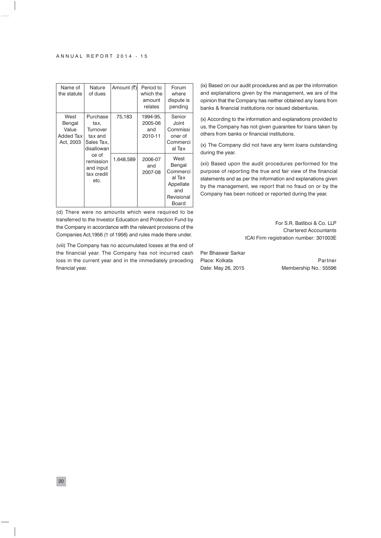#### ANNUAL REPORT 2014 - 15

| Name of<br>the statute                                   | Nature<br>of dues                                                   | Amount (₹) | Period to<br>which the<br>amount<br>relates | Forum<br>where<br>dispute is<br>pending                                         |
|----------------------------------------------------------|---------------------------------------------------------------------|------------|---------------------------------------------|---------------------------------------------------------------------------------|
| West<br>Bengal<br>Value<br><b>Added Tax</b><br>Act, 2003 | Purchase<br>tax,<br>Turnover<br>tax and<br>Sales Tax,<br>disallowan | 75,183     | 1994-95,<br>2005-06<br>and<br>2010-11       | Senior<br>Joint<br>Commissi<br>oner of<br>Commerci<br>al Tax                    |
|                                                          | ce of<br>remission<br>and input<br>tax credit<br>etc.               | 1,648,589  | 2006-07<br>and<br>2007-08                   | West<br>Bengal<br>Commerci<br>al Tax<br>Appellate<br>and<br>Revisional<br>Board |

(d) There were no amounts which were required to be transferred to the Investor Education and Protection Fund by the Company in accordance with the relevant provisions of the Companies Act, 1956 (1 of 1956) and rules made there under.

(viii) The Company has no accumulated losses at the end of the financial year. The Company has not incurred cash loss in the current year and in the immediately preceding financial year.

(ix) Based on our audit procedures and as per the information and explanations given by the management, we are of the opinion that the Company has neither obtained any loans from banks & financial institutions nor issued debentures.

(x) According to the information and explanations provided to us, the Company has not given guarantee for loans taken by others from banks or financial institutions.

(x) The Company did not have any term loans outstanding during the year.

(xii) Based upon the audit procedures performed for the purpose of reporting the true and fair view of the financial statements and as per the information and explanations given by the management, we report that no fraud on or by the Company has been noticed or reported during the year.

> For S.B. Batliboi & Co. I I P **Chartered Accountants** ICAI Firm registration number: 301003E

Per Bhaswar Sarkar Place: Kolkata Date: May 26, 2015

Partner Membership No.: 55596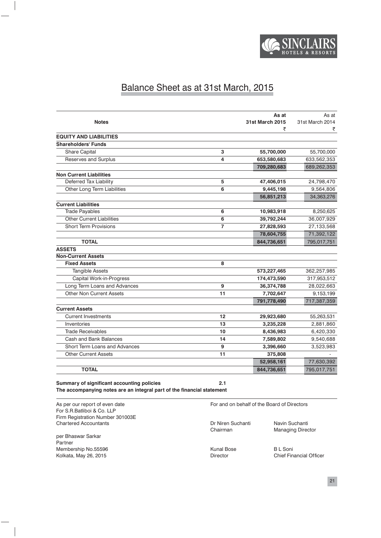

# Balance Sheet as at 31st March, 2015

 $\overline{\phantom{a}}$ 

| <b>Notes</b>                     |                | As at<br>31st March 2015 | As at<br>31st March 2014 |
|----------------------------------|----------------|--------------------------|--------------------------|
| <b>EQUITY AND LIABILITIES</b>    |                | ₹                        | ₹                        |
| <b>Shareholders' Funds</b>       |                |                          |                          |
|                                  |                |                          |                          |
| Share Capital                    | 3              | 55,700,000               | 55,700,000               |
| Reserves and Surplus             | 4              | 653,580,683              | 633,562,353              |
|                                  |                | 709,280,683              | 689,262,353              |
| <b>Non Current Liabilities</b>   |                |                          |                          |
| Deferred Tax Liability           | 5              | 47,406,015               | 24,798,470               |
| Other Long Term Liabilities      | 6              | 9,445,198                | 9,564,806                |
|                                  |                | 56,851,213               | 34, 363, 276             |
| <b>Current Liabilities</b>       |                |                          |                          |
| <b>Trade Payables</b>            | 6              | 10,983,918               | 8,250,625                |
| <b>Other Current Liabilities</b> | 6              | 39,792,244               | 36,007,929               |
| <b>Short Term Provisions</b>     | $\overline{7}$ | 27,828,593               | 27,133,568               |
|                                  |                | 78,604,755               | 71,392,122               |
| <b>TOTAL</b>                     |                | 844,736,651              | 795,017,751              |
| <b>ASSETS</b>                    |                |                          |                          |
| <b>Non-Current Assets</b>        |                |                          |                          |
| <b>Fixed Assets</b>              | 8              |                          |                          |
| <b>Tangible Assets</b>           |                | 573,227,465              | 362,257,985              |
| Capital Work-in-Progress         |                | 174,473,590              | 317,953,512              |
| Long Term Loans and Advances     | 9              | 36,374,788               | 28,022,663               |
| Other Non Current Assets         | 11             | 7,702,647                | 9,153,199                |
|                                  |                | 791,778,490              | 717,387,359              |
| <b>Current Assets</b>            |                |                          |                          |
| <b>Current Investments</b>       | 12             | 29,923,680               | 55,263,531               |
| Inventories                      | 13             | 3,235,228                | 2,881,860                |
| <b>Trade Receivables</b>         | 10             | 8,436,983                | 6,420,330                |
| Cash and Bank Balances           | 14             | 7,589,802                | 9,540,688                |
| Short Term Loans and Advances    | 9              | 3,396,660                | 3,523,983                |
| <b>Other Current Assets</b>      | 11             | 375,808                  |                          |
|                                  |                | 52,958,161               | 77,630,392               |
| <b>TOTAL</b>                     |                | 844,736,651              | 795,017,751              |
|                                  |                |                          |                          |

#### Summary of significant accounting policies  $2.1$ The accompanying notes are an integral part of the financial statement

| As per our report of even date<br>For S.R.Batliboi & Co. LLP<br>Firm Registration Number 301003E | For and on behalf of the Board of Directors |                                            |  |
|--------------------------------------------------------------------------------------------------|---------------------------------------------|--------------------------------------------|--|
| Chartered Accountants                                                                            | Dr Niren Suchanti<br>Chairman               | Navin Suchanti<br><b>Managing Director</b> |  |
| per Bhaswar Sarkar                                                                               |                                             |                                            |  |
| Partner                                                                                          |                                             |                                            |  |
| Membership No.55596                                                                              | <b>Kunal Bose</b>                           | <b>BL</b> Soni                             |  |
| Kolkata, May 26, 2015                                                                            | <b>Director</b>                             | <b>Chief Financial Officer</b>             |  |
|                                                                                                  |                                             |                                            |  |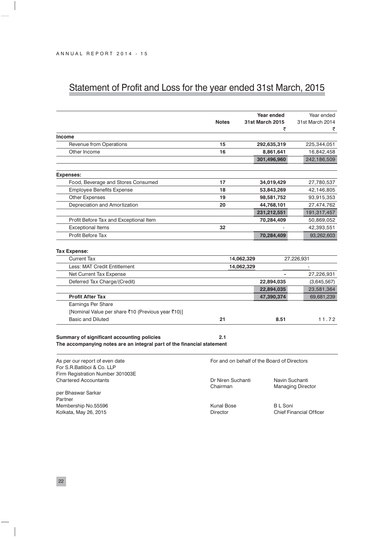$\overline{\phantom{a}}$ 

# Statement of Profit and Loss for the year ended 31st March, 2015

|                                                   |              |                          | Year ended      | Year ended                |
|---------------------------------------------------|--------------|--------------------------|-----------------|---------------------------|
|                                                   | <b>Notes</b> |                          | 31st March 2015 | 31st March 2014           |
|                                                   |              |                          | ₹               | ₹                         |
| <b>Income</b>                                     |              |                          |                 |                           |
| Revenue from Operations                           | 15           |                          | 292,635,319     | 225,344,051               |
| Other Income                                      | 16           |                          | 8,861,641       | 16,842,458                |
|                                                   |              |                          | 301,496,960     | 242,186,509               |
| <b>Expenses:</b>                                  |              |                          |                 |                           |
| Food, Beverage and Stores Consumed                | 17           |                          | 34,019,429      | 27,780,537                |
| <b>Employee Benefits Expense</b>                  | 18           |                          | 53,843,269      | 42,146,805                |
| <b>Other Expenses</b>                             | 19           |                          | 98,581,752      | 93,915,353                |
| Depreciation and Amortization                     | 20           |                          | 44,768,101      | 27,474,762                |
|                                                   |              |                          | 231,212,551     | 191,317,457               |
| Profit Before Tax and Exceptional Item            |              |                          | 70,284,409      | 50,869,052                |
| <b>Exceptional Items</b>                          | 32           |                          |                 | 42,393,551                |
|                                                   |              |                          | 70,284,409      | 93,262,603                |
| Profit Before Tax                                 |              |                          |                 |                           |
| Tax Expense:<br><b>Current Tax</b>                |              |                          |                 |                           |
| Less: MAT Credit Entitlement                      |              | 14,062,329<br>14,062,329 |                 | 27,226,931                |
| Net Current Tax Expense                           |              |                          | ÷               |                           |
| Deferred Tax Charge/(Credit)                      |              |                          | 22,894,035      | 27,226,931                |
|                                                   |              |                          | 22,894,035      | (3,645,567)<br>23,581,364 |
| <b>Profit After Tax</b>                           |              |                          | 47,390,374      | 69,681,239                |
| Earnings Per Share                                |              |                          |                 |                           |
| [Nominal Value per share ₹10 (Previous year ₹10)] |              |                          |                 |                           |

per Bhaswar Sarkar Partner Membership No.55596 Kolkata, May 26, 2015

Dr Niren Suchanti Chairman

Navin Suchanti **Managing Director** 

**Kunal Bose** Director

**BL** Soni **Chief Financial Officer**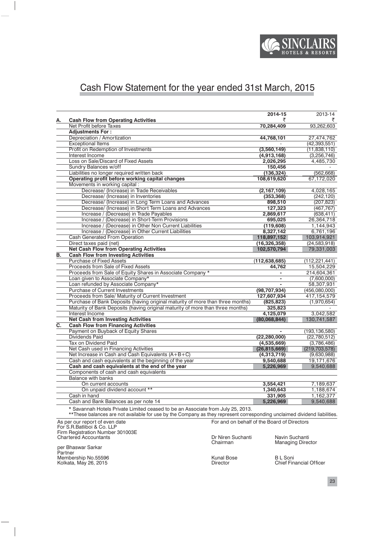

# Cash Flow Statement for the year ended 31st March, 2015

|                          |                                                                                                                                                                                                               | 2014-15                  | 2013-14         |
|--------------------------|---------------------------------------------------------------------------------------------------------------------------------------------------------------------------------------------------------------|--------------------------|-----------------|
| А.                       | <b>Cash Flow from Operating Activities</b>                                                                                                                                                                    |                          |                 |
|                          | Net Profit before Taxes                                                                                                                                                                                       | 70,284,409               | 93,262,603      |
|                          | <b>Adjustments For:</b>                                                                                                                                                                                       |                          |                 |
|                          | Depreciation / Amortization                                                                                                                                                                                   | 44,768,101               | 27,474,762      |
|                          | <b>Exceptional Items</b>                                                                                                                                                                                      |                          | (42, 393, 551)  |
|                          | Profit on Redemption of Investments                                                                                                                                                                           | (3,560,149)              | (11,838,110)    |
|                          | Interest Income                                                                                                                                                                                               | (4,913,168)              | (3,256,746)     |
|                          | Loss on Sale/Discard of Fixed Assets                                                                                                                                                                          | 2,026,295                | 4,485,730       |
|                          | Sundry Balances w/off                                                                                                                                                                                         | 150,456                  |                 |
|                          | Liabilities no longer required written back                                                                                                                                                                   | (136, 324)               | (562, 668)      |
|                          | Operating profit before working capital changes                                                                                                                                                               | 108,619,620              | 67,172,020      |
|                          | Movements in working capital :                                                                                                                                                                                |                          |                 |
|                          | Decrease/ (Increase) in Trade Receivables                                                                                                                                                                     | (2, 167, 109)            | 4,028,165       |
|                          | Decrease/ (Increase) in Inventories                                                                                                                                                                           | (353, 368)               | (242, 120)      |
|                          | Decrease/ (Increase) in Long Term Loans and Advances                                                                                                                                                          | 898,510                  | (207, 823)      |
|                          | Decrease/ (Increase) in Short Term Loans and Advances                                                                                                                                                         | 127,323                  | (467, 767)      |
|                          | Increase / (Decrease) in Trade Payables                                                                                                                                                                       | 2,869,617                | (638, 411)      |
|                          | Increase / (Decrease) in Short-Term Provisions                                                                                                                                                                | 695,025                  | 26,364,718      |
|                          | Increase / (Decrease) in Other Non Current Liabilities                                                                                                                                                        | (119,608)                | 1,144,943       |
|                          | Increase / (Decrease) in Other Current Liabilities                                                                                                                                                            | 8,327,142                | 6,761,196       |
|                          | Cash Generated From Operation                                                                                                                                                                                 | 118,897,152              | 103,914,921     |
|                          | Direct taxes paid (net)                                                                                                                                                                                       | (16,326,358)             | (24, 583, 918)  |
|                          | <b>Net Cash Flow from Operating Activities</b>                                                                                                                                                                |                          |                 |
| B.                       | <b>Cash Flow from Investing Activities</b>                                                                                                                                                                    | 102,570,794              | 79,331,003      |
|                          |                                                                                                                                                                                                               |                          |                 |
|                          | <b>Purchase of Fixed Assets</b>                                                                                                                                                                               | (112, 638, 685)          | (112, 221, 441) |
|                          | Proceeds from Sale of Fixed Assets                                                                                                                                                                            | 44.762                   | 15,504,229      |
|                          | Proceeds from Sale of Equity Shares in Associate Company *                                                                                                                                                    |                          | 214,604,361     |
|                          | Loan given to Associate Company*                                                                                                                                                                              | $\overline{\phantom{a}}$ | (7,600,000)     |
|                          | Loan refunded by Associate Company*                                                                                                                                                                           |                          | 58,307,931      |
|                          | Purchase of Current Investments                                                                                                                                                                               | (98, 707, 934)           | (456,080,000)   |
|                          | Proceeds from Sale/ Maturity of Current Investment                                                                                                                                                            | 127,607,934              | 417,154,579     |
|                          | Purchase of Bank Deposits (having original maturity of more than three months)                                                                                                                                | (825, 823)               | (1,970,654)     |
|                          | Maturity of Bank Deposits (having original maturity of more than three months)                                                                                                                                | 325,823                  |                 |
|                          | Interest Income                                                                                                                                                                                               | 4.125.079                | 3,042,582       |
|                          | <b>Net Cash from Investing Activities</b>                                                                                                                                                                     | (80,068,844)             | 130,741,587     |
| $\overline{\mathsf{C}.}$ | <b>Cash Flow from Financing Activities</b>                                                                                                                                                                    |                          |                 |
|                          | Payment on Buyback of Equity Shares                                                                                                                                                                           |                          | (193, 136, 580) |
|                          | <b>Dividends Paid</b>                                                                                                                                                                                         | (22, 280, 000)           | (22,780,512)    |
|                          | Tax on Dividend Paid                                                                                                                                                                                          | (4,535,669)              | (3,786,486)     |
|                          | Net Cash used in Financing Activities                                                                                                                                                                         | (26, 815, 669)           | (219, 703, 578) |
|                          | Net Increase in Cash and Cash Equivalents (A+B+C)                                                                                                                                                             | (4,313,719)              | (9,630,988)     |
|                          | Cash and cash equivalents at the beginning of the year                                                                                                                                                        | 9,540,688                | 19,171,676      |
|                          | Cash and cash equivalents at the end of the year                                                                                                                                                              | 5,226,969                | 9,540,688       |
|                          | Components of cash and cash equivalents                                                                                                                                                                       |                          |                 |
|                          | <b>Balance with banks</b>                                                                                                                                                                                     |                          |                 |
|                          | On current accounts                                                                                                                                                                                           | 3,554,421                | 7,189,637       |
|                          | On unpaid dividend account **                                                                                                                                                                                 | 1.340.643                | 1.188.674       |
|                          | Cash in hand                                                                                                                                                                                                  | 331,905                  | 1,162,377       |
|                          | Cash and Bank Balances as per note 14                                                                                                                                                                         | 5,226,969                | 9,540,688       |
|                          | * Savannah Hotels Private Limited ceased to be an Associate from July 25, 2013.<br>** These balances are not available for use by the Company as they represent corresponding unclaimed dividend liabilities. |                          |                 |
|                          | For and on behalf of the Board of Directors<br>As per our report of even date                                                                                                                                 |                          |                 |

As per our report of even date<br>For S.R.Batliboi & Co. LLP<br>Firm Registration Number 301003E<br>Chartered Accountants

per Bhaswar Sarkar<br>Partner<br>Membership No.55596<br>Kolkata, May 26, 2015

 $\overline{\phantom{a}}$ 

 $\overline{\phantom{a}}$ 

Dr Niren Suchanti Chairman

**Kunal Bose** 

Director

Navin Suchanti **Managing Director** 

**BL** Soni Chief Financial Officer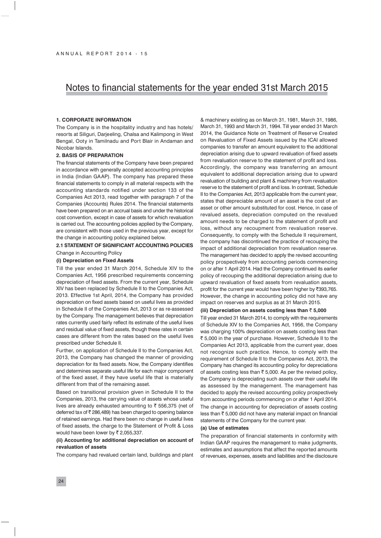#### **1. CORPORATE INFORMATION**

The Company is in the hospitality industry and has hotels/ resorts at Siliguri, Darjeeling, Chalsa and Kalimpong in West Bengal, Ooty in Tamilnadu and Port Blair in Andaman and Nicobar Islands

#### 2 BASIS OF PREPARATION

The financial statements of the Company have been prepared in accordance with generally accepted accounting principles in India (Indian GAAP). The company has prepared these financial statements to comply in all material respects with the accounting standards notified under section 133 of the Companies Act 2013, read together with paragraph 7 of the Companies (Accounts) Rules 2014. The financial statements have been prepared on an accrual basis and under the historical cost convention, except in case of assets for which revaluation is carried out. The accounting policies applied by the Company, are consistent with those used in the previous year, except for the change in accounting policy explained below.

#### 2.1 STATEMENT OF SIGNIFICANT ACCOUNTING POLICIES Change in Accounting Policy

#### (i) Depreciation on Fixed Assets

Till the year ended 31 March 2014, Schedule XIV to the Companies Act, 1956 prescribed requirements concerning depreciation of fixed assets. From the current year, Schedule XIV has been replaced by Schedule II to the Companies Act, 2013. Effective 1st April, 2014, the Company has provided depreciation on fixed assets based on useful lives as provided in Schedule II of the Companies Act, 2013 or as re-assessed by the Company. The management believes that depreciation rates currently used fairly reflect its estimate of the useful lives and residual value of fixed assets, though these rates in certain cases are different from the rates hased on the useful lives prescribed under Schedule II.

Further, on application of Schedule II to the Companies Act, 2013, the Company has changed the manner of providing depreciation for its fixed assets. Now, the Company identifies and determines separate useful life for each major component of the fixed asset, if they have useful life that is materially different from that of the remaining asset.

Based on transitional provision given in Schedule II to the Companies, 2013, the carrying value of assets whose useful lives are already exhausted amounting to ₹ 556,375 (net of deferred tax of ₹286,489) has been charged to opening balance of retained earnings. Had there been no change in useful lives of fixed assets, the charge to the Statement of Profit & Loss would have been lower by ₹ 2,055,337.

#### (ii) Accounting for additional depreciation on account of revaluation of assets

The company had revalued certain land, buildings and plant

& machinery existing as on March 31, 1981, March 31, 1986, March 31, 1993 and March 31, 1994. Till year ended 31 March 2014, the Guidance Note on Treatment of Reserve Created on Revaluation of Fixed Assets issued by the ICAI allowed companies to transfer an amount equivalent to the additional depreciation arising due to upward revaluation of fixed assets from revaluation reserve to the statement of profit and loss. Accordingly, the company was transferring an amount equivalent to additional depreciation arising due to upward revaluation of building and plant & machinery from revaluation reserve to the statement of profit and loss. In contrast, Schedule Il to the Companies Act. 2013 applicable from the current year. states that depreciable amount of an asset is the cost of an asset or other amount substituted for cost. Hence, in case of revalued assets, depreciation computed on the revalued amount needs to be charged to the statement of profit and loss, without any recoupment from revaluation reserve. Consequently, to comply with the Schedule II requirement, the company has discontinued the practice of recouping the impact of additional depreciation from revaluation reserve. The management has decided to apply the revised accounting policy prospectively from accounting periods commencing on or after 1 April 2014. Had the Company continued its earlier policy of recouping the additional depreciation arising due to upward revaluation of fixed assets from revaluation assets, profit for the current year would have been higher by ₹393.765. However, the change in accounting policy did not have any impact on reserves and surplus as at 31 March 2015.

#### (iii) Depreciation on assets costing less than  $\bar{z}$  5,000

Till year ended 31 March 2014, to comply with the requirements of Schedule XIV to the Companies Act, 1956, the Company was charging 100% depreciation on assets costing less than ₹ 5,000 in the year of purchase. However, Schedule II to the Companies Act 2013, applicable from the current year, does not recognize such practice. Hence, to comply with the requirement of Schedule II to the Companies Act, 2013, the Company has changed its accounting policy for depreciations of assets costing less than ₹ 5,000. As per the revised policy, the Company is depreciating such assets over their useful life as assessed by the management. The management has decided to apply the revised accounting policy prospectively from accounting periods commencing on or after 1 April 2014. The change in accounting for depreciation of assets costing less than ₹ 5,000 did not have any material impact on financial statements of the Company for the current year.

#### (a) Use of estimates

The preparation of financial statements in conformity with Indian GAAP requires the management to make judgments, estimates and assumptions that affect the reported amounts of revenues, expenses, assets and liabilities and the disclosure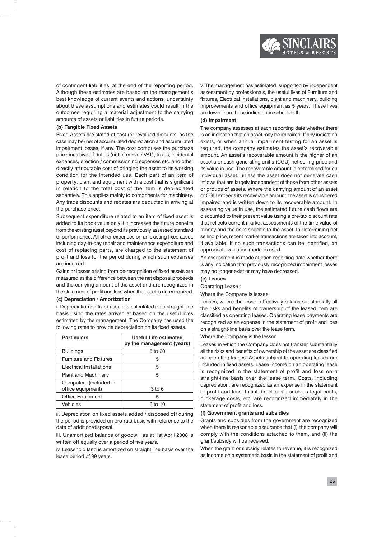

of contingent liabilities, at the end of the reporting period. Although these estimates are based on the management's best knowledge of current events and actions, uncertainty about these assumptions and estimates could result in the outcomes requiring a material adjustment to the carrying amounts of assets or liabilities in future periods.

#### (b) Tangible Fixed Assets

Fixed Assets are stated at cost (or revalued amounts, as the case may be) net of accumulated depreciation and accumulated impairment losses, if any. The cost comprises the purchase price inclusive of duties (net of cenvat/ VAT), taxes, incidental expenses, erection / commissioning expenses etc. and other directly attributable cost of bringing the asset to its working condition for the intended use. Each part of an item of property, plant and equipment with a cost that is significant in relation to the total cost of the item is depreciated separately. This applies mainly to components for machinery. Any trade discounts and rebates are deducted in arriving at the purchase price.

Subsequent expenditure related to an item of fixed asset is added to its book value only if it increases the future benefits from the existing asset beyond its previously assessed standard of performance. All other expenses on an existing fixed asset, including day-to-day repair and maintenance expenditure and cost of replacing parts, are charged to the statement of profit and loss for the period during which such expenses are incurred.

Gains or losses arising from de-recognition of fixed assets are measured as the difference between the net disposal proceeds and the carrying amount of the asset and are recognized in the statement of profit and loss when the asset is derecognized.

#### (c) Depreciation / Amortization

i. Depreciation on fixed assets is calculated on a straight-line basis using the rates arrived at based on the useful lives estimated by the management. The Company has used the following rates to provide depreciation on its fixed assets.

| <b>Particulars</b>                          | Useful Life estimated<br>by the management (years) |
|---------------------------------------------|----------------------------------------------------|
| <b>Buildings</b>                            | 5 to 60                                            |
| <b>Furniture and Fixtures</b>               | 5                                                  |
| Electrical Installations                    | 5                                                  |
| <b>Plant and Machinery</b>                  | 5                                                  |
| Computers (included in<br>office equipment) | $3$ to $6$                                         |
| <b>Office Equipment</b>                     | 5                                                  |
| <b>Vehicles</b>                             | 6 to 10                                            |

ii. Depreciation on fixed assets added / disposed off during the period is provided on pro-rata basis with reference to the date of addition/disposal.

iii. Unamortized balance of goodwill as at 1st April 2008 is written off equally over a period of five years.

iv. Leasehold land is amortized on straight line basis over the lease period of 99 years.

v. The management has estimated, supported by independent assessment by professionals, the useful lives of Furniture and fixtures, Electrical installations, plant and machinery, building improvements and office equipment as 5 years. These lives are lower than those indicated in schedule II.

#### (d) Impairment

The company assesses at each reporting date whether there is an indication that an asset may be impaired. If any indication exists, or when annual impairment testing for an asset is required, the company estimates the asset's recoverable amount. An asset's recoverable amount is the higher of an asset's or cash-generating unit's (CGU) net selling price and its value in use. The recoverable amount is determined for an individual asset, unless the asset does not generate cash inflows that are largely independent of those from other assets or groups of assets. Where the carrying amount of an asset or CGU exceeds its recoverable amount, the asset is considered impaired and is written down to its recoverable amount. In assessing value in use, the estimated future cash flows are discounted to their present value using a pre-tax discount rate that reflects current market assessments of the time value of money and the risks specific to the asset. In determining net selling price, recent market transactions are taken into account. if available. If no such transactions can be identified, an appropriate valuation model is used.

An assessment is made at each reporting date whether there is any indication that previously recognized impairment losses may no longer exist or may have decreased.

#### (e) Leases

Operating Lease:

#### Where the Company is lessee

Leases, where the lessor effectively retains substantially all the risks and benefits of ownership of the leased item are classified as operating leases. Operating lease payments are recognized as an expense in the statement of profit and loss on a straight-line basis over the lease term.

#### Where the Company is the lessor

Leases in which the Company does not transfer substantially all the risks and benefits of ownership of the asset are classified as operating leases. Assets subject to operating leases are included in fixed assets. Lease income on an operating lease is recognized in the statement of profit and loss on a straight-line basis over the lease term. Costs, including depreciation, are recognized as an expense in the statement of profit and loss. Initial direct costs such as legal costs, brokerage costs, etc. are recognized immediately in the statement of profit and loss.

#### (f) Government grants and subsidies

Grants and subsidies from the government are recognized when there is reasonable assurance that (i) the company will comply with the conditions attached to them, and (ii) the grant/subsidy will be received.

When the grant or subsidy relates to revenue, it is recognized as income on a systematic basis in the statement of profit and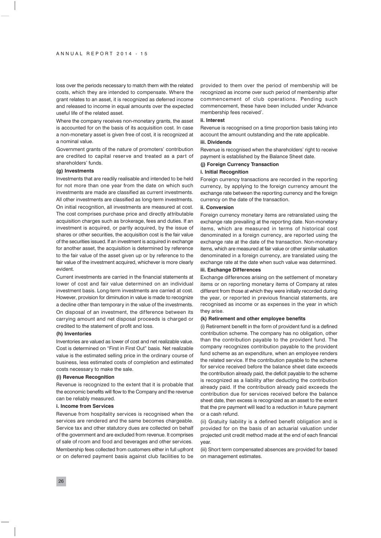loss over the periods necessary to match them with the related costs, which they are intended to compensate. Where the grant relates to an asset, it is recognized as deferred income and released to income in equal amounts over the expected useful life of the related asset.

Where the company receives non-monetary grants, the asset is accounted for on the basis of its acquisition cost. In case a non-monetary asset is given free of cost, it is recognized at a nominal value.

Government grants of the nature of promoters' contribution are credited to capital reserve and treated as a part of shareholders' funds.

#### (g) Investments

Investments that are readily realisable and intended to be held for not more than one year from the date on which such investments are made are classified as current investments. All other investments are classified as long-term investments. On initial recognition, all investments are measured at cost. The cost comprises purchase price and directly attributable acquisition charges such as brokerage, fees and duties. If an investment is acquired, or partly acquired, by the issue of shares or other securities, the acquisition cost is the fair value of the securities issued. If an investment is acquired in exchange for another asset, the acquisition is determined by reference to the fair value of the asset given up or by reference to the fair value of the investment acquired, whichever is more clearly evident

Current investments are carried in the financial statements at lower of cost and fair value determined on an individual investment basis. Long-term investments are carried at cost. However, provision for diminution in value is made to recognize a decline other than temporary in the value of the investments.

On disposal of an investment, the difference between its carrying amount and net disposal proceeds is charged or credited to the statement of profit and loss.

#### (h) Inventories

Inventories are valued as lower of cost and net realizable value. Cost is determined on "First in First Out" basis. Net realizable value is the estimated selling price in the ordinary course of business, less estimated costs of completion and estimated costs necessary to make the sale.

#### (i) Revenue Recognition

Revenue is recognized to the extent that it is probable that the economic benefits will flow to the Company and the revenue can be reliably measured.

#### i. Income from Services

Revenue from hospitality services is recognised when the services are rendered and the same becomes chargeable. Service tax and other statutory dues are collected on behalf of the government and are excluded from revenue. It comprises of sale of room and food and beverages and other services. Membership fees collected from customers either in full upfront or on deferred payment basis against club facilities to be

provided to them over the period of membership will be recognized as income over such period of membership after commencement of club operations. Pending such commencement, these have been included under 'Advance membership fees received'.

#### ii. Interest

Revenue is recognised on a time proportion basis taking into account the amount outstanding and the rate applicable.

#### iii. Dividends

Revenue is recognised when the shareholders' right to receive payment is established by the Balance Sheet date.

#### (j) Foreign Currency Transaction

#### i. Initial Recognition

Foreign currency transactions are recorded in the reporting currency, by applying to the foreign currency amount the exchange rate between the reporting currency and the foreign currency on the date of the transaction.

#### ii. Conversion

Foreign currency monetary items are retranslated using the exchange rate prevailing at the reporting date. Non-monetary items, which are measured in terms of historical cost denominated in a foreign currency, are reported using the exchange rate at the date of the transaction. Non-monetary items, which are measured at fair value or other similar valuation denominated in a foreign currency, are translated using the exchange rate at the date when such value was determined.

#### iii. Exchange Differences

Exchange differences arising on the settlement of monetary items or on reporting monetary items of Company at rates different from those at which they were initially recorded during the year, or reported in previous financial statements, are recognised as income or as expenses in the year in which they arise.

#### (k) Retirement and other employee benefits

(i) Retirement benefit in the form of provident fund is a defined contribution scheme. The company has no obligation, other than the contribution payable to the provident fund. The company recognizes contribution payable to the provident fund scheme as an expenditure, when an employee renders the related service. If the contribution payable to the scheme for service received before the balance sheet date exceeds the contribution already paid, the deficit payable to the scheme is recognized as a liability after deducting the contribution already paid. If the contribution already paid exceeds the contribution due for services received before the balance sheet date, then excess is recognized as an asset to the extent that the pre payment will lead to a reduction in future payment or a cash refund.

(ii) Gratuity liability is a defined benefit obligation and is provided for on the basis of an actuarial valuation under projected unit credit method made at the end of each financial vear.

(iii) Short term compensated absences are provided for based on management estimates.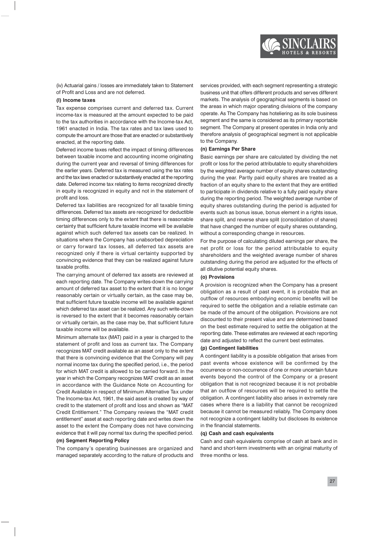

(iv) Actuarial gains / losses are immediately taken to Statement of Profit and Loss and are not deferred.

#### (I) Income taxes

Tax expense comprises current and deferred tax. Current income-tax is measured at the amount expected to be paid to the tax authorities in accordance with the Income-tax Act, 1961 enacted in India. The tax rates and tax laws used to compute the amount are those that are enacted or substantively enacted, at the reporting date.

Deferred income taxes reflect the impact of timing differences between taxable income and accounting income originating during the current year and reversal of timing differences for the earlier years. Deferred tax is measured using the tax rates and the tax laws enacted or substantively enacted at the reporting date. Deferred income tax relating to items recognized directly in equity is recognized in equity and not in the statement of profit and loss.

Deferred tax liabilities are recognized for all taxable timing differences. Deferred tax assets are recognized for deductible timing differences only to the extent that there is reasonable certainty that sufficient future taxable income will be available against which such deferred tax assets can be realized. In situations where the Company has unabsorbed depreciation or carry forward tax losses, all deferred tax assets are recognized only if there is virtual certainty supported by convincing evidence that they can be realized against future taxable profits.

The carrying amount of deferred tax assets are reviewed at each reporting date. The Company writes-down the carrying amount of deferred tax asset to the extent that it is no longer reasonably certain or virtually certain, as the case may be, that sufficient future taxable income will be available against which deferred tax asset can be realized. Any such write-down is reversed to the extent that it becomes reasonably certain or virtually certain, as the case may be, that sufficient future taxable income will be available.

Minimum alternate tax (MAT) paid in a year is charged to the statement of profit and loss as current tax. The Company recognizes MAT credit available as an asset only to the extent that there is convincing evidence that the Company will pay normal income tax during the specified period, i.e., the period for which MAT credit is allowed to be carried forward. In the year in which the Company recognizes MAT credit as an asset in accordance with the Guidance Note on Accounting for Credit Available in respect of Minimum Alternative Tax under The Income-tax Act, 1961, the said asset is created by way of credit to the statement of profit and loss and shown as "MAT Credit Entitlement." The Company reviews the "MAT credit entitlement" asset at each reporting date and writes down the asset to the extent the Company does not have convincing evidence that it will pay normal tax during the specified period.

#### (m) Segment Reporting Policy

The company's operating businesses are organized and managed separately according to the nature of products and

services provided, with each segment representing a strategic business unit that offers different products and serves different markets. The analysis of geographical segments is based on the areas in which major operating divisions of the company operate. As The Company has hoteliering as its sole business segment and the same is considered as its primary reportable segment. The Company at present operates in India only and therefore analysis of geographical segment is not applicable to the Company.

#### (n) Earnings Per Share

Basic earnings per share are calculated by dividing the net profit or loss for the period attributable to equity shareholders by the weighted average number of equity shares outstanding during the year. Partly paid equity shares are treated as a fraction of an equity share to the extent that they are entitled to participate in dividends relative to a fully paid equity share during the reporting period. The weighted average number of equity shares outstanding during the period is adjusted for events such as bonus issue, bonus element in a rights issue, share split, and reverse share split (consolidation of shares) that have changed the number of equity shares outstanding, without a corresponding change in resources

For the purpose of calculating diluted earnings per share, the net profit or loss for the period attributable to equity shareholders and the weighted average number of shares outstanding during the period are adjusted for the effects of all dilutive potential equity shares

#### (o) Provisions

A provision is recognized when the Company has a present obligation as a result of past event, it is probable that an outflow of resources embodying economic benefits will be required to settle the obligation and a reliable estimate can be made of the amount of the obligation. Provisions are not discounted to their present value and are determined based on the best estimate required to settle the obligation at the reporting date. These estimates are reviewed at each reporting date and adjusted to reflect the current best estimates

#### (p) Contingent liabilities

A contingent liability is a possible obligation that arises from past events whose existence will be confirmed by the occurrence or non-occurrence of one or more uncertain future events bevond the control of the Company or a present obligation that is not recognized because it is not probable that an outflow of resources will be required to settle the obligation. A contingent liability also arises in extremely rare cases where there is a liability that cannot be recognized because it cannot be measured reliably. The Company does not recognize a contingent liability but discloses its existence in the financial statements.

#### (q) Cash and cash equivalents

Cash and cash equivalents comprise of cash at bank and in hand and short-term investments with an original maturity of three months or less.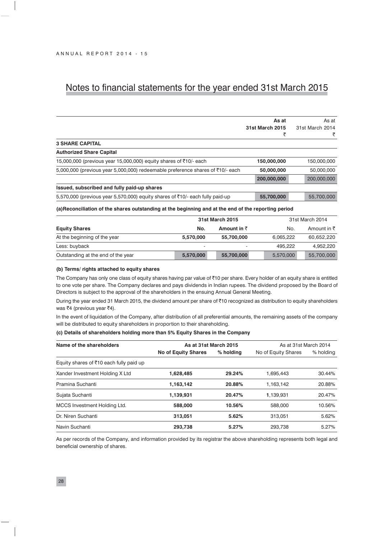|                                                                                               | As at<br>31st March 2015 | As at<br>31st March 2014 |
|-----------------------------------------------------------------------------------------------|--------------------------|--------------------------|
|                                                                                               |                          | ₹                        |
| <b>3 SHARE CAPITAL</b>                                                                        |                          |                          |
| <b>Authorized Share Capital</b>                                                               |                          |                          |
| 15,000,000 (previous year 15,000,000) equity shares of ₹10/- each                             | 150,000,000              | 150.000.000              |
| 5,000,000 (previous year 5,000,000) redeemable preference shares of $\bar{\tau}$ 10/- each    | 50,000,000               | 50,000,000               |
|                                                                                               | 200,000,000              | 200,000,000              |
| Issued, subscribed and fully paid-up shares                                                   |                          |                          |
| 5,570,000 (previous year 5,570,000) equity shares of $\overline{\xi}$ 10/- each fully paid-up | 55,700,000               | 55,700,000               |

#### (a) Reconciliation of the shares outstanding at the beginning and at the end of the reporting period

|                                    | 31st March 2015          |                     |           | 31st March 2014     |  |
|------------------------------------|--------------------------|---------------------|-----------|---------------------|--|
| <b>Equity Shares</b>               | No.                      | Amount in $\bar{z}$ | No.       | Amount in $\bar{z}$ |  |
| At the beginning of the year       | 5,570,000                | 55,700,000          | 6.065.222 | 60,652,220          |  |
| Less: buyback                      | $\overline{\phantom{a}}$ | -                   | 495.222   | 4,952,220           |  |
| Outstanding at the end of the year | 5,570,000                | 55,700,000          | 5,570,000 | 55,700,000          |  |

#### (b) Terms/ rights attached to equity shares

The Company has only one class of equity shares haying par value of ₹10 per share. Every holder of an equity share is entitled to one vote per share. The Company declares and pays dividends in Indian rupees. The dividend proposed by the Board of Directors is subject to the approval of the shareholders in the ensuing Annual General Meeting.

During the year ended 31 March 2015, the dividend amount per share of ₹10 recognized as distribution to equity shareholders was ₹4 (previous year ₹4).

In the event of liquidation of the Company, after distribution of all preferential amounts, the remaining assets of the company will be distributed to equity shareholders in proportion to their shareholding.

#### (c) Details of shareholders holding more than 5% Equity Shares in the Company

| Name of the shareholders                            | As at 31st March 2015      |           | As at 31st March 2014 |           |
|-----------------------------------------------------|----------------------------|-----------|-----------------------|-----------|
|                                                     | <b>No of Equity Shares</b> | % holding | No of Equity Shares   | % holding |
| Equity shares of $\bar{\tau}$ 10 each fully paid up |                            |           |                       |           |
| Xander Investment Holding X Ltd                     | 1,628,485                  | 29.24%    | 1.695.443             | 30.44%    |
| Pramina Suchanti                                    | 1,163,142                  | 20.88%    | 1,163,142             | 20.88%    |
| Sujata Suchanti                                     | 1.139.931                  | 20.47%    | 1.139.931             | 20.47%    |
| <b>MCCS Investment Holding Ltd.</b>                 | 588,000                    | 10.56%    | 588,000               | 10.56%    |
| Dr. Niren Suchanti                                  | 313,051                    | 5.62%     | 313.051               | 5.62%     |
| Navin Suchanti                                      | 293,738                    | 5.27%     | 293.738               | 5.27%     |

As per records of the Company, and information provided by its registrar the above shareholding represents both legal and beneficial ownership of shares.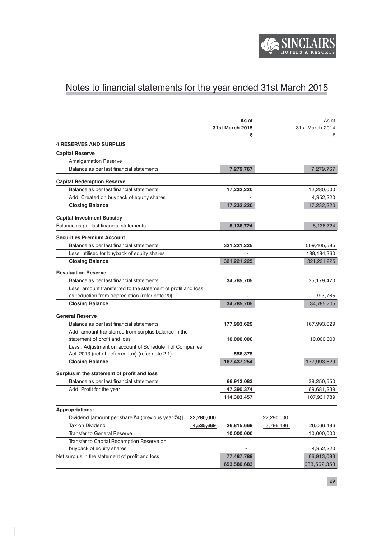

 $\overline{\phantom{a}}$ 

|                                                                       | As at<br><b>31st March 2015</b><br>₹ |            | As at<br>31st March 2014<br>₹ |
|-----------------------------------------------------------------------|--------------------------------------|------------|-------------------------------|
| <b>4 RESERVES AND SURPLUS</b>                                         |                                      |            |                               |
| <b>Capital Reserve</b>                                                |                                      |            |                               |
| <b>Amalgamation Reserve</b>                                           |                                      |            |                               |
| Balance as per last financial statements                              | 7,279,767                            |            | 7,279,767                     |
| <b>Capital Redemption Reserve</b>                                     |                                      |            |                               |
| Balance as per last financial statements                              | 17,232,220                           |            | 12,280,000                    |
| Add: Created on buyback of equity shares                              |                                      |            | 4,952,220                     |
| <b>Closing Balance</b>                                                | 17,232,220                           |            | 17,232,220                    |
| <b>Capital Investment Subsidy</b>                                     |                                      |            |                               |
| Balance as per last financial statements                              | 8,136,724                            |            | 8,136,724                     |
| <b>Securities Premium Account</b>                                     |                                      |            |                               |
| Balance as per last financial statements                              | 321,221,225                          |            | 509,405,585                   |
| Less: utilised for buyback of equity shares                           |                                      |            | 188,184,360                   |
| <b>Closing Balance</b>                                                | 321,221,225                          |            | 321, 221, 225                 |
| <b>Revaluation Reserve</b>                                            |                                      |            |                               |
| Balance as per last financial statements                              | 34,785,705                           |            | 35,179,470                    |
| Less: amount transferred to the statement of profit and loss          |                                      |            |                               |
| as reduction from depreciation (refer note 20)                        |                                      |            | 393,765                       |
| <b>Closing Balance</b>                                                | 34,785,705                           |            | 34,785,705                    |
| <b>General Reserve</b>                                                |                                      |            |                               |
| Balance as per last financial statements                              | 177,993,629                          |            | 167,993,629                   |
| Add: amount transferred from surplus balance in the                   |                                      |            |                               |
| statement of profit and loss                                          | 10,000,000                           |            | 10,000,000                    |
| Less : Adjustment on account of Schedule II of Companies              |                                      |            |                               |
| Act, 2013 (net of deferred tax) (refer note 2.1)                      | 556,375                              |            |                               |
| <b>Closing Balance</b>                                                | 187,437,254                          |            | 177,993,629                   |
| Surplus in the statement of profit and loss                           |                                      |            |                               |
| Balance as per last financial statements                              | 66,913,083                           |            | 38,250,550                    |
| Add: Profit for the year                                              | 47,390,374<br>114,303,457            |            | 69,681,239<br>107,931,789     |
|                                                                       |                                      |            |                               |
| <b>Appropriations:</b>                                                |                                      |            |                               |
| Dividend [amount per share ₹4 (previous year ₹4)]<br>22,280,000       |                                      | 22,280,000 |                               |
| Tax on Dividend<br>4,535,669                                          | 26,815,669                           | 3,786,486  | 26,066,486                    |
| Transfer to General Reserve                                           | 10,000,000                           |            | 10,000,000                    |
| Transfer to Capital Redemption Reserve on<br>buyback of equity shares |                                      |            | 4,952,220                     |
| Net surplus in the statement of profit and loss                       | 77,487,788                           |            | 66,913,083                    |
|                                                                       | 653,580,683                          |            | 633,562,353                   |
|                                                                       |                                      |            |                               |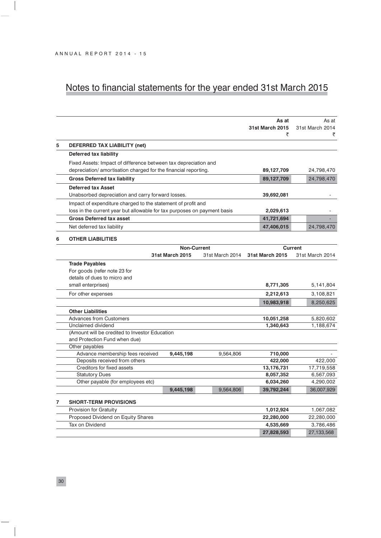$\overline{\phantom{a}}$ 

## Notes to financial statements for the year ended 31st March 2015

|   |                                                                          |                    |                 | As at<br><b>31st March 2015</b><br>₹ | As at<br>31st March 2014<br>₹ |
|---|--------------------------------------------------------------------------|--------------------|-----------------|--------------------------------------|-------------------------------|
| 5 | <b>DEFERRED TAX LIABILITY (net)</b>                                      |                    |                 |                                      |                               |
|   | Deferred tax liability                                                   |                    |                 |                                      |                               |
|   | Fixed Assets: Impact of difference between tax depreciation and          |                    |                 |                                      |                               |
|   | depreciation/amortisation charged for the financial reporting.           |                    |                 | 89,127,709                           | 24,798,470                    |
|   | <b>Gross Deferred tax liability</b>                                      |                    |                 | 89,127,709                           | 24,798,470                    |
|   | <b>Deferred tax Asset</b>                                                |                    |                 |                                      |                               |
|   | Unabsorbed depreciation and carry forward losses.                        |                    |                 | 39,692,081                           |                               |
|   | Impact of expenditure charged to the statement of profit and             |                    |                 |                                      |                               |
|   | loss in the current year but allowable for tax purposes on payment basis |                    |                 | 2,029,613                            |                               |
|   | <b>Gross Deferred tax asset</b>                                          |                    |                 | 41,721,694                           |                               |
|   | Net deferred tax liability                                               |                    |                 | 47,406,015                           | 24,798,470                    |
| 6 | <b>OTHER LIABILITIES</b>                                                 |                    |                 |                                      |                               |
|   |                                                                          | <b>Non-Current</b> |                 |                                      | Current                       |
|   |                                                                          | 31st March 2015    | 31st March 2014 | <b>31st March 2015</b>               | 31st March 2014               |
|   | <b>Trade Payables</b>                                                    |                    |                 |                                      |                               |
|   | For goods (refer note 23 for                                             |                    |                 |                                      |                               |
|   | details of dues to micro and                                             |                    |                 |                                      |                               |
|   | small enterprises)                                                       |                    |                 | 8,771,305                            | 5,141,804                     |
|   | For other expenses                                                       |                    |                 | 2,212,613                            | 3,108,821                     |
|   |                                                                          |                    |                 | 10,983,918                           | 8,250,625                     |
|   | <b>Other Liabilities</b>                                                 |                    |                 |                                      |                               |
|   | <b>Advances from Customers</b>                                           |                    |                 | 10,051,258                           | 5,820,602                     |
|   | Unclaimed dividend                                                       |                    |                 | 1,340,643                            | 1,188,674                     |
|   | (Amount will be credited to Investor Education                           |                    |                 |                                      |                               |
|   | and Protection Fund when due)                                            |                    |                 |                                      |                               |
|   | Other payables                                                           |                    |                 |                                      |                               |
|   | Advance membership fees received                                         | 9,445,198          | 9,564,806       | 710,000                              |                               |
|   | Deposits received from others                                            |                    |                 | 422,000                              | 422,000                       |
|   | Creditors for fixed assets                                               |                    |                 | 13,176,731                           | 17,719,558                    |
|   | <b>Statutory Dues</b>                                                    |                    |                 | 8,057,352                            | 6,567,093                     |
|   | Other payable (for employees etc)                                        |                    |                 | 6,034,260                            | 4,290,002                     |
|   |                                                                          | 9,445,198          | 9,564,806       | 39,792,244                           | 36,007,929                    |
| 7 | <b>SHORT-TERM PROVISIONS</b>                                             |                    |                 |                                      |                               |
|   | Provision for Gratuity                                                   |                    |                 | 1,012,924                            | 1,067,082                     |
|   | Proposed Dividend on Equity Shares                                       |                    |                 | 22,280,000                           | 22,280,000                    |
|   | Tax on Dividend                                                          |                    |                 | 4,535,669                            | 3,786,486                     |
|   |                                                                          |                    |                 | 27,828,593                           | 27,133,568                    |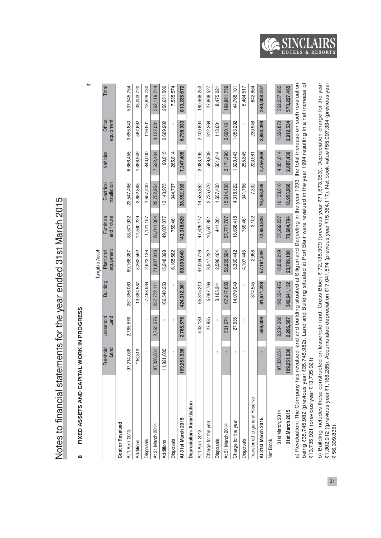# FIXED ASSETS AND CAPITAL WORK IN PROGRESS  $\infty$

 $\mathsf{h}\mathsf{v}$ 

|                                |                            |                   |              | Tangible Asset         |                          |                            |           |                     |             |
|--------------------------------|----------------------------|-------------------|--------------|------------------------|--------------------------|----------------------------|-----------|---------------------|-------------|
|                                | Freehold<br>Land           | Land<br>Leasehold | Building     | equipment<br>Plant and | and fixture<br>Furniture | installation<br>Electrical | Vehicles  | Office<br>equipment | Total       |
| Cost or Revalued               |                            |                   |              |                        |                          |                            |           |                     |             |
| At 1 April 2013                | 97,214,038                 | 2,765,576         | 251,356,060  | 69,168,387             | 83,571,932               | 23,547,466                 | 6,666,455 | 3,655,840           | 537,945,754 |
| Additions                      | 116,813                    |                   | 13,884,587   | 5,262,562              | 12,590,229               | 3,862,888                  | 1,698,949 | 587,692             | 38,003,720  |
| <b>Disposals</b>               |                            |                   | 7,468,536    | 2,623,136              | 1,121,157                | 1,657,400                  | 843,000   | 116,501             | 13,829,730  |
| At 31 March 2014               | 7,330,851<br>ခြ            | 2,765,576         | 257,772,111  | 71,807,813             | 95,041,004               | 25,752,954                 | 7,522,404 | 4,127,031           | 562,119,744 |
| Additions                      | ,921,085                   |                   | 166,540,250  | 15,248,398             | 49,037,077               | 13, 143, 975               | 90,815    | 2,669,902           | 258,651,502 |
| <b>Disposals</b>               |                            |                   |              | 6,165,562              | 759,461                  | 344,737                    | 265,814   |                     | 7,535,574   |
| At 31st March 2015             | 1,251,936<br>$\frac{8}{2}$ | 2,765,576         | 424,312,361  | 80,890,649             | 143,318,620              | 38,552,192                 | 7,347,405 | 6,796,933           | 813,235,672 |
| Depreciation/ Amortisation     |                            |                   |              |                        |                          |                            |           |                     |             |
| At 1 April 2013                |                            | 503,139           | 65,315,210   | 47,004,776             | 47,625,177               | 14,535,862                 | 3,083,195 | 2,400,894           | 180,468,253 |
| Charge for the year            |                            | 27,935            | 5,067,766    | 8,547,222              | 10,587,851               | 2,735,676                  | 589,809   | 312,268             | 27,868,527  |
| <b>Disposals</b>               |                            | ı                 | 3,165,341    | 2,596,404              | 441,261                  | 1,657,400                  | 501,614   | 113,001             | 8,475,021   |
| At 31 March 2014               |                            | 531,074           | 67,217,635   | 52,955,594             | 57,771,767               | 15,614,138                 | 3,171,390 | 2,600,161           | 199,861,759 |
| Charge for the year            |                            | 27,935            | 14,079,049   | 8,330,442              | 15,638,418               | 4,318,522                  | 1,320,443 | 1,053,292           | 44,768,101  |
| <b>Disposals</b>               | ,                          | ı                 |              | 4,107,445              | 759,461                  | 341,766                    | 255,845   |                     | 5,464,517   |
| Transferred to general Reserve |                            |                   | 374,545      | 2,958                  | 3,102                    | 7,332                      | 223,981   | 230,946             | 842,864     |
| At 31st March 2015             |                            | 559,009           | 81, 671, 229 | 57,181,549             | 72,653,826               | 19,598,226                 | 4,459,969 | 3,884,399           | 240,008,207 |
| Net Block                      |                            |                   |              |                        |                          |                            |           |                     |             |
| 31st March, 2014               | 97,330,851                 | 2,234,502         | 190,554,476  | 18,852,219             | 37,269,237               | 10,138,816                 | 4,351,014 | 1,526,870           | 362,257,985 |
| 31st March 2015                | 1,251,936<br>$\frac{8}{2}$ | 2,206,567         | 342,641,132  | 23,709,100             | 70,664,794               | 18,953,966                 | 2,887,436 | 2,912,534           | 573,227,465 |

a) Revaluation: The Company has revalued land and building situated at Siliguri and Darjeeling in the year 1993, the total increase on such revaluation being ₹35,745,982 (previous year ₹35,745,982). Land and Building situated at Port Blair were revalued in the year 1994 resulting in a net increase of ₹13,735,921 (previous year ₹13,735,921)

b) Building includes those constructed on leasehold land, Gross Block ₹72,138,909 (previous year ₹71,673,953), Depreciation charge for the year ₹1,302,912 ((previous year ₹1,168,285), Accumulated depreciation ₹17,041,574 (previous year ₹15,364,117), Net book value ₹55,097,334 (previous year ₹56,309,835).



 $31$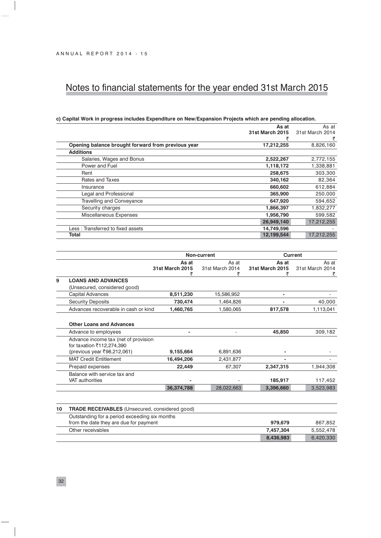|                                                    | As at                  | As at           |
|----------------------------------------------------|------------------------|-----------------|
|                                                    | <b>31st March 2015</b> | 31st March 2014 |
|                                                    |                        | ₹               |
| Opening balance brought forward from previous year | 17,212,255             | 8,826,160       |
| <b>Additions</b>                                   |                        |                 |
| Salaries, Wages and Bonus                          | 2,522,267              | 2,772,155       |
| Power and Fuel                                     | 1,118,172              | 1,338,881       |
| Rent                                               | 258,675                | 303,300         |
| Rates and Taxes                                    | 340,162                | 82,364          |
| Insurance                                          | 660,602                | 612,884         |
| Legal and Professional                             | 365,900                | 250,000         |
| <b>Travelling and Conveyance</b>                   | 647,920                | 594,652         |
| Security charges                                   | 1,866,397              | 1,832,277       |
| Miscellaneous Expenses                             | 1,956,790              | 599,582         |
|                                                    | 26,949,140             | 17,212,255      |
| Less: Transferred to fixed assets                  | 14,749,596             |                 |
| Total                                              | 12,199,544             | 17,212,255      |

#### c) Capital Work in progress includes Expenditure on New/Expansion Projects which are pending allocation.

|    |                                                                   | Non-current              |                          |                                 | <b>Current</b>           |
|----|-------------------------------------------------------------------|--------------------------|--------------------------|---------------------------------|--------------------------|
|    |                                                                   | As at<br>31st March 2015 | As at<br>31st March 2014 | As at<br><b>31st March 2015</b> | As at<br>31st March 2014 |
|    |                                                                   | ₹                        | ₹                        | ₹                               | ₹                        |
| 9  | <b>LOANS AND ADVANCES</b>                                         |                          |                          |                                 |                          |
|    | (Unsecured, considered good)                                      |                          |                          |                                 |                          |
|    | <b>Capital Advances</b>                                           | 8,511,230                | 15,586,952               | ۰                               |                          |
|    | <b>Security Deposits</b>                                          | 730,474                  | 1,464,826                |                                 | 40,000                   |
|    | Advances recoverable in cash or kind                              | 1,460,765                | 1,580,065                | 817,578                         | 1,113,041                |
|    | <b>Other Loans and Advances</b>                                   |                          |                          |                                 |                          |
|    | Advance to employees                                              |                          |                          | 45,850                          | 309,182                  |
|    | Advance income tax (net of provision<br>for taxation ₹112,274,390 |                          |                          |                                 |                          |
|    | (previous year ₹98,212,061)                                       | 9,155,664                | 6,891,636                |                                 |                          |
|    | <b>MAT Credit Entitlement</b>                                     | 16,494,206               | 2,431,877                |                                 |                          |
|    | Prepaid expenses                                                  | 22,449                   | 67,307                   | 2,347,315                       | 1,944,308                |
|    | Balance with service tax and<br><b>VAT authorities</b>            |                          |                          | 185,917                         | 117,452                  |
|    |                                                                   | 36,374,788               | 28,022,663               | 3,396,660                       | 3,523,983                |
|    |                                                                   |                          |                          |                                 |                          |
| 10 | <b>TRADE RECEIVABLES</b> (Unsecured, considered good)             |                          |                          |                                 |                          |
|    | Outstanding for a period exceeding six months                     |                          |                          |                                 |                          |

| Outstanding for a period exceeding six months |           |           |
|-----------------------------------------------|-----------|-----------|
| from the date they are due for payment        | 979.679   | 867.852   |
| Other receivables                             | 7.457.304 | 5.552.478 |
|                                               | 8.436.983 | 6.420.330 |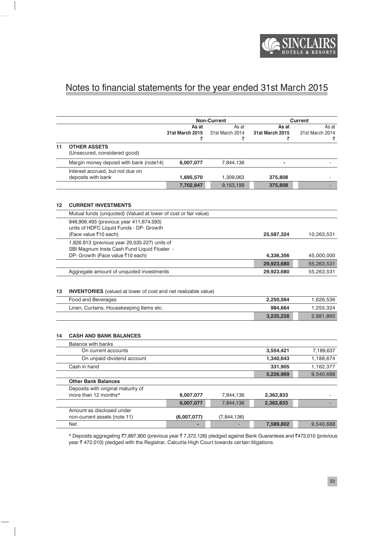|    |                                                                                                                                  |                      | <b>Non-Current</b>   |                      | <b>Current</b>       |
|----|----------------------------------------------------------------------------------------------------------------------------------|----------------------|----------------------|----------------------|----------------------|
|    |                                                                                                                                  | As at                | As at                | As at                | As at                |
|    |                                                                                                                                  | 31st March 2015<br>₹ | 31st March 2014<br>₹ | 31st March 2015<br>₹ | 31st March 2014<br>₹ |
| 11 | <b>OTHER ASSETS</b><br>(Unsecured, considered good)                                                                              |                      |                      |                      |                      |
|    | Margin money deposit with bank (note14)                                                                                          | 6,007,077            | 7,844,136            | ä,                   |                      |
|    | Interest accrued, but not due on<br>deposits with bank                                                                           | 1,695,570            | 1,309,063            | 375,808              |                      |
|    |                                                                                                                                  | 7,702,647            | 9,153,199            | 375,808              |                      |
| 12 | <b>CURRENT INVESTMENTS</b>                                                                                                       |                      |                      |                      |                      |
|    | Mutual funds (unquoted) (Valued at lower of cost or fair value)                                                                  |                      |                      |                      |                      |
|    | 946,906.493 (previous year 411,674.593)<br>units of HDFC Liquid Funds - DP- Growth<br>(Face value ₹10 each)                      |                      |                      | 25,587,324           | 10,263,531           |
|    | 1,826.813 (previous year 20,535.227) units of<br>SBI Magnum Insta Cash Fund Liquid Floater -<br>DP- Growth (Face value ₹10 each) |                      |                      | 4,336,356            | 45,000,000           |
|    |                                                                                                                                  |                      |                      | 29,923,680           | 55,263,531           |
|    | Aggregate amount of unquoted investments                                                                                         |                      |                      | 29,923,680           | 55,263,531           |
| 13 | <b>INVENTORIES</b> (valued at lower of cost and net realizable value)                                                            |                      |                      |                      |                      |
|    | Food and Beverages                                                                                                               |                      |                      | 2,250,564            | 1,626,536            |
|    | Linen, Curtains, Housekeeping Items etc.                                                                                         |                      |                      | 984,664              | 1,255,324            |
|    |                                                                                                                                  |                      |                      | 3,235,228            | 2,881,860            |
| 14 | <b>CASH AND BANK BALANCES</b>                                                                                                    |                      |                      |                      |                      |
|    | <b>Balance with banks</b><br>On current accounts                                                                                 |                      |                      | 3,554,421            | 7,189,637            |
|    | On unpaid dividend account                                                                                                       |                      |                      | 1,340,643            | 1,188,674            |
|    | Cash in hand                                                                                                                     |                      |                      | 331,905              | 1,162,377            |
|    |                                                                                                                                  |                      |                      | 5,226,969            | 9,540,688            |
|    | <b>Other Bank Balances</b>                                                                                                       |                      |                      |                      |                      |
|    | Deposits with original maturity of                                                                                               |                      |                      |                      |                      |
|    | more than 12 months*                                                                                                             | 6,007,077            | 7,844,136            | 2,362,833            |                      |
|    |                                                                                                                                  | 6,007,077            | 7,844,136            | 2,362,833            |                      |
|    | Amount as disclosed under<br>non-current assets (note 11)                                                                        | (6,007,077)          | (7,844,136)          |                      |                      |
|    | <b>Net</b>                                                                                                                       | ۰                    |                      | 7,589,802            | 9,540,688            |

\* Deposits aggregating ₹7,897,900 (previous year ₹ 7,372,126) pledged against Bank Guarantees and ₹472,010 (previous<br>year ₹ 472,010) pledged with the Registrar, Calcutta High Court towards certain litigations.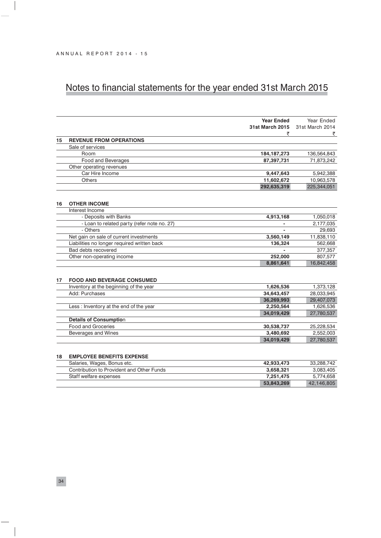$\overline{\phantom{a}}$ 

# Notes to financial statements for the year ended 31st March 2015

|    |                                                               | <b>Year Ended</b>    | Year Ended           |
|----|---------------------------------------------------------------|----------------------|----------------------|
|    |                                                               | 31st March 2015<br>₹ | 31st March 2014<br>₹ |
| 15 | <b>REVENUE FROM OPERATIONS</b>                                |                      |                      |
|    | Sale of services                                              |                      |                      |
|    | Room                                                          | 184, 187, 273        | 136,564,843          |
|    | Food and Beverages                                            | 87,397,731           | 71,873,242           |
|    | Other operating revenues                                      |                      |                      |
|    | Car Hire Income                                               | 9,447,643            | 5,942,388            |
|    | <b>Others</b>                                                 | 11,602,672           | 10,963,578           |
|    |                                                               | 292,635,319          | 225,344,051          |
|    |                                                               |                      |                      |
| 16 | <b>OTHER INCOME</b>                                           |                      |                      |
|    | Interest Income                                               |                      |                      |
|    | - Deposits with Banks                                         | 4,913,168            | 1,050,018            |
|    | - Loan to related party (refer note no. 27)                   |                      | 2,177,035            |
|    | - Others                                                      |                      | 29,693               |
|    | Net gain on sale of current investments                       | 3,560,149            | 11,838,110           |
|    | Liabilities no longer required written back                   | 136,324              | 562,668              |
|    | Bad debts recovered                                           |                      | 377,357              |
|    | Other non-operating income                                    | 252,000              | 807,577              |
|    |                                                               | 8,861,641            | 16,842,458           |
| 17 | <b>FOOD AND BEVERAGE CONSUMED</b>                             |                      |                      |
|    | Inventory at the beginning of the year                        | 1,626,536            | 1,373,128            |
|    | Add: Purchases                                                | 34,643,457           | 28,033,945           |
|    |                                                               | 36,269,993           | 29,407,073           |
|    | Less : Inventory at the end of the year                       | 2,250,564            | 1,626,536            |
|    |                                                               | 34,019,429           | 27,780,537           |
|    | <b>Details of Consumption</b>                                 |                      |                      |
|    | <b>Food and Groceries</b>                                     | 30,538,737           | 25,228,534           |
|    | Beverages and Wines                                           | 3,480,692            | 2,552,003            |
|    |                                                               | 34,019,429           | 27,780,537           |
|    |                                                               |                      |                      |
| 18 | <b>EMPLOYEE BENEFITS EXPENSE</b><br>Salaries Wages Ronus etc. | <b>AD 033 A73</b>    | 33.288.742           |
|    |                                                               |                      |                      |

| Salaries, Wages, Bonus etc.               | 42.933.473 | 33.288.742 |
|-------------------------------------------|------------|------------|
| Contribution to Provident and Other Funds | 3.658.321  | 3.083.405  |
| Staff welfare expenses                    | 7.251.475  | 5.774.658  |
|                                           | 53.843.269 | 42.146.805 |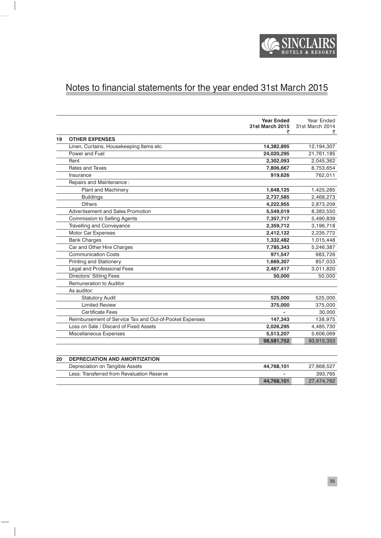

 $\overline{\phantom{a}}$ 

|    |                                                         | <b>Year Ended</b> | Year Ended           |
|----|---------------------------------------------------------|-------------------|----------------------|
|    |                                                         | 31st March 2015   | 31st March 2014<br>₹ |
| 19 | <b>OTHER EXPENSES</b>                                   |                   |                      |
|    | Linen, Curtains, Housekeeping Items etc.                | 14,382,895        | 12,194,307           |
|    | Power and Fuel                                          | 24,020,295        | 21,761,185           |
|    | Rent                                                    | 2,302,093         | 2,045,362            |
|    | Rates and Taxes                                         | 7,806,667         | 8,753,654            |
|    | Insurance                                               | 919,626           | 762,011              |
|    | Repairs and Maintenance:                                |                   |                      |
|    | Plant and Machinery                                     | 1,648,125         | 1,425,285            |
|    | <b>Buildings</b>                                        | 2,737,585         | 2,468,273            |
|    | <b>Others</b>                                           | 4,222,955         | 2,873,209            |
|    | Advertisement and Sales Promotion                       | 5,549,019         | 8,383,550            |
|    | Commission to Selling Agents                            | 7,357,717         | 5,490,839            |
|    | Travelling and Conveyance                               | 2,359,712         | 3,196,718            |
|    | Motor Car Expenses                                      | 2,412,122         | 2,235,772            |
|    | <b>Bank Charges</b>                                     | 1,332,482         | 1,015,448            |
|    | Car and Other Hire Charges                              | 7,785,343         | 5,246,387            |
|    | <b>Communication Costs</b>                              | 971,547           | 983,726              |
|    | Printing and Stationery                                 | 1,669,307         | 857,033              |
|    | Legal and Professional Fees                             | 2,467,417         | 3,011,820            |
|    | Directors' Sitting Fees                                 | 50,000            | 50,000               |
|    | Remuneration to Auditor                                 |                   |                      |
|    | As auditor:                                             |                   |                      |
|    | <b>Statutory Audit</b>                                  | 525,000           | 525,000              |
|    | <b>Limited Review</b>                                   | 375,000           | 375,000              |
|    | <b>Certificate Fees</b>                                 |                   | 30,000               |
|    | Reimbursement of Service Tax and Out-of-Pocket Expenses | 147,343           | 138,975              |
|    | Loss on Sale / Discard of Fixed Assets                  | 2,026,295         | 4,485,730            |
|    | Miscellaneous Expenses                                  | 5,513,207         | 5,606,069            |
|    |                                                         | 98,581,752        | 93,915,353           |
|    |                                                         |                   |                      |
| 20 | <b>DEPRECIATION AND AMORTIZATION</b>                    |                   |                      |
|    | Depreciation on Tangible Assets                         | 44,768,101        | 27,868,527           |
|    | Less: Transferred from Revaluation Reserve              |                   | 393,765              |

27,474,762

44,768,101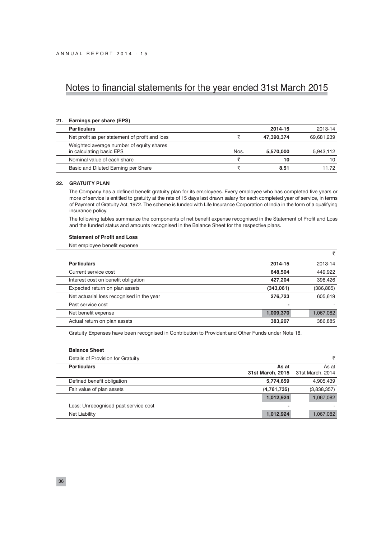#### 21. Earnings per share (EPS)

| <b>Particulars</b>                                                   |      | 2014-15    | 2013-14    |
|----------------------------------------------------------------------|------|------------|------------|
| Net profit as per statement of profit and loss                       |      | 47,390,374 | 69,681,239 |
| Weighted average number of equity shares<br>in calculating basic EPS | Nos. | 5,570,000  | 5,943,112  |
| Nominal value of each share                                          |      |            | 10         |
| Basic and Diluted Earning per Share                                  |      | 8.51       | 11 72      |

#### 22. GRATUITY PLAN

The Company has a defined benefit gratuity plan for its employees. Every employee who has completed five years or more of service is entitled to gratuity at the rate of 15 days last drawn salary for each completed year of service, in terms of Payment of Gratuity Act, 1972. The scheme is funded with Life Insurance Corporation of India in the form of a qualifying insurance policy.

The following tables summarize the components of net benefit expense recognised in the Statement of Profit and Loss and the funded status and amounts recognised in the Balance Sheet for the respective plans.

#### **Statement of Profit and Loss**

Net employee benefit expense

|           | ₹         |
|-----------|-----------|
| 2014-15   | 2013-14   |
| 648,504   | 449,922   |
| 427,204   | 398,426   |
| (343,061) | (386,885) |
| 276,723   | 605,619   |
|           |           |
| 1,009,370 | 1,067,082 |
| 383,207   | 386,885   |
|           |           |

Gratuity Expenses have been recognised in Contribution to Provident and Other Funds under Note 18.

#### **Balance Sheet**

| Details of Provision for Gratuity    |                  | ₹                |
|--------------------------------------|------------------|------------------|
| <b>Particulars</b>                   | As at            | As at            |
|                                      | 31st March, 2015 | 31st March, 2014 |
| Defined benefit obligation           | 5,774,659        | 4,905,439        |
| Fair value of plan assets            | (4,761,735)      | (3,838,357)      |
|                                      | 1,012,924        | 1,067,082        |
| Less: Unrecognised past service cost |                  |                  |
| Net Liability                        | 1,012,924        | 1,067,082        |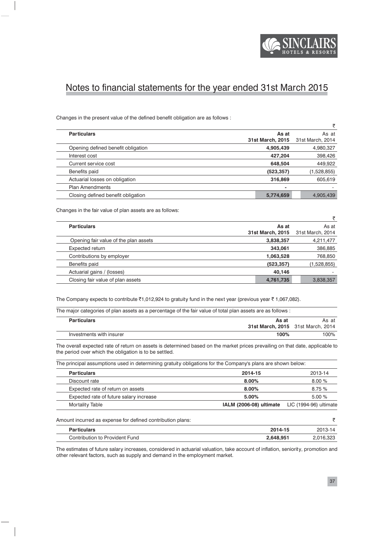

 $\rightarrow$ 

# Notes to financial statements for the year ended 31st March 2015

Changes in the present value of the defined benefit obligation are as follows :

| <b>Particulars</b>                 | As at            | As at            |
|------------------------------------|------------------|------------------|
|                                    | 31st March, 2015 | 31st March, 2014 |
| Opening defined benefit obligation | 4,905,439        | 4,980,327        |
| Interest cost                      | 427.204          | 398,426          |
| Current service cost               | 648,504          | 449,922          |
| Benefits paid                      | (523, 357)       | (1,528,855)      |
| Actuarial losses on obligation     | 316,869          | 605,619          |
| <b>Plan Amendments</b>             |                  |                  |
| Closing defined benefit obligation | 5,774,659        | 4.905.439        |

Changes in the fair value of plan assets are as follows:

|                                       |                  | ₹                |
|---------------------------------------|------------------|------------------|
| <b>Particulars</b>                    | As at            | As at            |
|                                       | 31st March, 2015 | 31st March, 2014 |
| Opening fair value of the plan assets | 3,838,357        | 4,211,477        |
| Expected return                       | 343,061          | 386,885          |
| Contributions by employer             | 1,063,528        | 768,850          |
| Benefits paid                         | (523, 357)       | (1,528,855)      |
| Actuarial gains / (losses)            | 40,146           |                  |
| Closing fair value of plan assets     | 4,761,735        | 3,838,357        |
|                                       |                  |                  |

The Company expects to contribute  $\bar{\tau}$ 1,012,924 to gratuity fund in the next year (previous year  $\bar{\tau}$  1,067,082).

The major categories of plan assets as a percentage of the fair value of total plan assets are as follows :

| <b>Particulars</b>       | As at                             | As at |
|--------------------------|-----------------------------------|-------|
|                          | 31st March, 2015 31st March, 2014 |       |
| Investments with insurer | 100%                              | 100%  |

The overall expected rate of return on assets is determined based on the market prices prevailing on that date, applicable to the period over which the obligation is to be settled.

| The principal assumptions used in determining gratuity obligations for the Company's plans are shown below: |                         |                        |  |  |
|-------------------------------------------------------------------------------------------------------------|-------------------------|------------------------|--|--|
| <b>Particulars</b>                                                                                          | 2014-15                 | 2013-14                |  |  |
| Discount rate                                                                                               | 8.00%                   | 8.00%                  |  |  |
| Expected rate of return on assets                                                                           | 8.00%                   | 8.75%                  |  |  |
| Expected rate of future salary increase                                                                     | 5.00%                   | 5.00%                  |  |  |
| Mortality Table                                                                                             | IALM (2006-08) ultimate | LIC (1994-96) ultimate |  |  |

| Amount incurred as expense for defined contribution plans: |           |           |
|------------------------------------------------------------|-----------|-----------|
| <b>Particulars</b>                                         | 2014-15   | 2013-14   |
| Contribution to Provident Fund                             | 2.648.951 | 2.016.323 |

The estimates of future salary increases, considered in actuarial valuation, take account of inflation, seniority, promotion and other relevant factors, such as supply and demand in the employment market.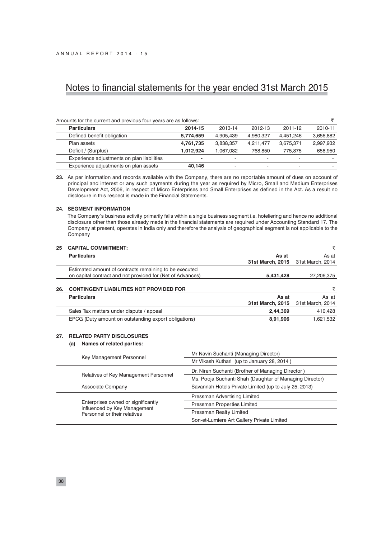| Amounts for the current and previous four years are as follows: |                          |                          |           |                          |           |
|-----------------------------------------------------------------|--------------------------|--------------------------|-----------|--------------------------|-----------|
| <b>Particulars</b>                                              | 2014-15                  | 2013-14                  | 2012-13   | 2011-12                  | 2010-11   |
| Defined benefit obligation                                      | 5.774.659                | 4.905.439                | 4.980.327 | 4.451.246                | 3,656,882 |
| Plan assets                                                     | 4,761,735                | 3,838,357                | 4.211.477 | 3.675.371                | 2,997,932 |
| Deficit / (Surplus)                                             | 1.012.924                | 1.067.082                | 768.850   | 775.875                  | 658,950   |
| Experience adjustments on plan liabilities                      | $\overline{\phantom{a}}$ | $\overline{\phantom{a}}$ | -         | $\overline{\phantom{a}}$ |           |
| Experience adjustments on plan assets                           | 40.146                   | -                        |           |                          |           |

23. As per information and records available with the Company, there are no reportable amount of dues on account of principal and interest or any such payments during the year as required by Micro, Small and Medium Enterprises Development Act, 2006, in respect of Micro Enterprises and Small Enterprises as defined in the Act. As a result no disclosure in this respect is made in the Financial Statements.

#### **24. SEGMENT INFORMATION**

The Company's business activity primarily falls within a single business segment i.e. hoteliering and hence no additional disclosure other than those already made in the financial statements are required under Accounting Standard 17. The Company at present, operates in India only and therefore the analysis of geographical segment is not applicable to the Company

#### 25 CAPITAL COMMITMENT:

| 25  | <b>CAPITAL COMMITMENT:</b>                                 |                  | ₹                |
|-----|------------------------------------------------------------|------------------|------------------|
|     | <b>Particulars</b>                                         | As at            | As at            |
|     |                                                            | 31st March, 2015 | 31st March, 2014 |
|     | Estimated amount of contracts remaining to be executed     |                  |                  |
|     | on capital contract and not provided for (Net of Advances) | 5,431,428        | 27,206,375       |
|     |                                                            |                  |                  |
| 26. | <b>CONTINGENT LIABILITIES NOT PROVIDED FOR</b>             |                  | ₹                |
|     | <b>Particulars</b>                                         | As at            | As at            |
|     |                                                            | 31st March, 2015 | 31st March, 2014 |
|     | Sales Tax matters under dispute / appeal                   | 2,44,369         | 410,428          |
|     | EPCG (Duty amount on outstanding export obligations)       | 8,91,906         | 1,621,532        |
|     |                                                            |                  |                  |

#### 27. RELATED PARTY DISCLOSURES

#### (a) Names of related parties:

| Key Management Personnel                                           | Mr Navin Suchanti (Managing Director)                   |  |  |
|--------------------------------------------------------------------|---------------------------------------------------------|--|--|
|                                                                    | Mr Vikash Kuthari (up to January 28, 2014)              |  |  |
| Relatives of Key Management Personnel                              | Dr. Niren Suchanti (Brother of Managing Director)       |  |  |
|                                                                    | Ms. Pooja Suchanti Shah (Daughter of Managing Director) |  |  |
| Associate Company                                                  | Savannah Hotels Private Limited (up to July 25, 2013)   |  |  |
|                                                                    | Pressman Advertising Limited                            |  |  |
| Enterprises owned or significantly<br>influenced by Key Management | Pressman Properties Limited                             |  |  |
| Personnel or their relatives                                       | Pressman Realty Limited                                 |  |  |
|                                                                    | Son-et-Lumiere Art Gallery Private Limited              |  |  |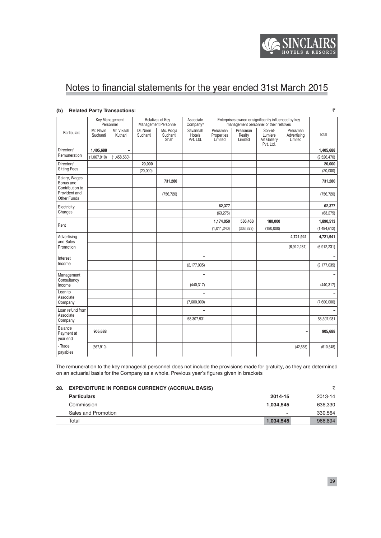

₹

# Notes to financial statements for the year ended 31st March 2015

|                                               |                       | Key Management<br>Personnel |                       | Relatives of Key<br>Management Personnel | Associate<br>Company*           |                                   |                               | Enterprises owned or significantly influenced by key<br>management personnel or their relatives |                                    |               |
|-----------------------------------------------|-----------------------|-----------------------------|-----------------------|------------------------------------------|---------------------------------|-----------------------------------|-------------------------------|-------------------------------------------------------------------------------------------------|------------------------------------|---------------|
| Particulars                                   | Mr. Navin<br>Suchanti | Mr. Vikash<br>Kuthari       | Dr. Niren<br>Suchanti | Ms. Pooja<br>Suchanti<br>Shah            | Savannah<br>Hotels<br>Pvt. Ltd. | Pressman<br>Properties<br>Limited | Pressman<br>Realty<br>Limited | Son-et-<br>Lumiere<br>Art Gallery<br>Pvt. Ltd.                                                  | Pressman<br>Advertising<br>Limited | Total         |
| Directors'                                    | 1,405,688             | $\blacksquare$              |                       |                                          |                                 |                                   |                               |                                                                                                 |                                    | 1,405,688     |
| Remuneration                                  | (1,067,910)           | (1,458,560)                 |                       |                                          |                                 |                                   |                               |                                                                                                 |                                    | (2,526,470)   |
| Directors'                                    |                       |                             | 20,000                |                                          |                                 |                                   |                               |                                                                                                 |                                    | 20,000        |
| <b>Sitting Fees</b>                           |                       |                             | (20,000)              |                                          |                                 |                                   |                               |                                                                                                 |                                    | (20,000)      |
| Salary, Wages<br>Bonus and<br>Contribution to |                       |                             |                       | 731,280                                  |                                 |                                   |                               |                                                                                                 |                                    | 731,280       |
| Provident and<br>Other Funds                  |                       |                             |                       | (756, 720)                               |                                 |                                   |                               |                                                                                                 |                                    | (756, 720)    |
| Electricity                                   |                       |                             |                       |                                          |                                 | 62,377                            |                               |                                                                                                 |                                    | 62,377        |
| Charges                                       |                       |                             |                       |                                          |                                 | (63, 275)                         |                               |                                                                                                 |                                    | (63, 275)     |
|                                               |                       |                             |                       |                                          |                                 | 1,174,050                         | 536,463                       | 180,000                                                                                         |                                    | 1,890,513     |
| Rent                                          |                       |                             |                       |                                          |                                 | (1,011,240)                       | (303, 372)                    | (180,000)                                                                                       |                                    | (1,494,612)   |
| Advertising<br>and Sales                      |                       |                             |                       |                                          |                                 |                                   |                               |                                                                                                 | 4,721,941                          | 4,721,941     |
| Promotion                                     |                       |                             |                       |                                          |                                 |                                   |                               |                                                                                                 | (6,912,231)                        | (6,912,231)   |
| Interest                                      |                       |                             |                       |                                          |                                 |                                   |                               |                                                                                                 |                                    |               |
| Income                                        |                       |                             |                       |                                          | (2, 177, 035)                   |                                   |                               |                                                                                                 |                                    | (2, 177, 035) |
| Management<br>Consultancy                     |                       |                             |                       |                                          | ۳                               |                                   |                               |                                                                                                 |                                    |               |
| Income                                        |                       |                             |                       |                                          | (440, 317)                      |                                   |                               |                                                                                                 |                                    | (440, 317)    |
| Loan to<br>Associate                          |                       |                             |                       |                                          |                                 |                                   |                               |                                                                                                 |                                    |               |
| Company                                       |                       |                             |                       |                                          | (7,600,000)                     |                                   |                               |                                                                                                 |                                    | (7,600,000)   |
| Loan refund from                              |                       |                             |                       |                                          |                                 |                                   |                               |                                                                                                 |                                    |               |
| Associate<br>Company                          |                       |                             |                       |                                          | 58,307,931                      |                                   |                               |                                                                                                 |                                    | 58,307,931    |
| Balance<br>Payment at<br>year end             | 905,688               |                             |                       |                                          |                                 |                                   |                               |                                                                                                 | ۰                                  | 905,688       |
| - Trade<br>payables                           | (567, 910)            |                             |                       |                                          |                                 |                                   |                               |                                                                                                 | (42, 638)                          | (610, 548)    |

## (b) Related Party Transactions:

The remuneration to the key managerial personnel does not include the provisions made for gratuity, as they are determined on an actuarial basis for the Company as a whole. Previous year's figures given in brackets

| 28. | <b>EXPENDITURE IN FOREIGN CURRENCY (ACCRUAL BASIS)</b> |           |         |
|-----|--------------------------------------------------------|-----------|---------|
|     | <b>Particulars</b>                                     | 2014-15   | 2013-14 |
|     | Commission                                             | 1.034.545 | 636.330 |
|     | Sales and Promotion                                    | -         | 330.564 |
|     | Total                                                  | 1,034,545 | 966.894 |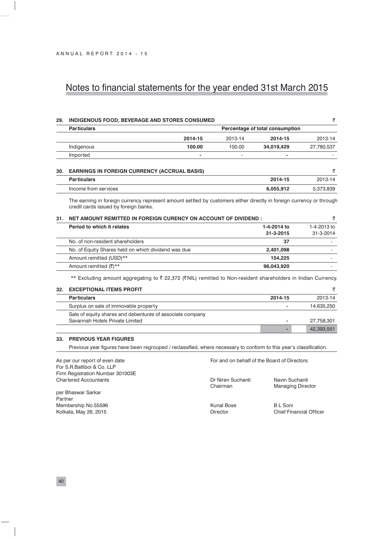| 29. | <b>INDIGENOUS FOOD, BEVERAGE AND STORES CONSUMED</b>                                                                                                          |                                 |                          |             | ₹           |  |
|-----|---------------------------------------------------------------------------------------------------------------------------------------------------------------|---------------------------------|--------------------------|-------------|-------------|--|
|     | <b>Particulars</b>                                                                                                                                            | Percentage of total consumption |                          |             |             |  |
|     |                                                                                                                                                               | 2014-15                         | 2013-14                  | 2014-15     | 2013-14     |  |
|     | Indigenous                                                                                                                                                    | 100.00                          | 100.00                   | 34,019,429  | 27,780,537  |  |
|     | Imported                                                                                                                                                      | $\blacksquare$                  | $\overline{\phantom{0}}$ |             |             |  |
| 30. | <b>EARNINGS IN FOREIGN CURRENCY (ACCRUAL BASIS)</b>                                                                                                           |                                 |                          |             | ₹           |  |
|     | <b>Particulars</b>                                                                                                                                            |                                 |                          | 2014-15     | 2013-14     |  |
|     | Income from services                                                                                                                                          |                                 |                          | 6,055,912   | 5,373,839   |  |
|     | The earning in foreign currency represent amount settled by customers either directly in foreign currency or through<br>credit cards issued by foreign banks. |                                 |                          |             |             |  |
| 31. | NET AMOUNT REMITTED IN FOREIGN CURENCY ON ACCOUNT OF DIVIDEND :                                                                                               |                                 |                          |             | ₹           |  |
|     | Period to which it relates                                                                                                                                    |                                 |                          | 1-4-2014 to | 1-4-2013 to |  |
|     |                                                                                                                                                               |                                 |                          | 31-3-2015   | 31-3-2014   |  |
|     | No. of non-resident shareholders                                                                                                                              |                                 |                          | 37          |             |  |
|     | No. of Equity Shares held on which dividend was due                                                                                                           |                                 |                          | 2,401,098   |             |  |
|     | Amount remitted (USD)**                                                                                                                                       |                                 |                          | 154,225     |             |  |
|     | Amount remitted (₹)**                                                                                                                                         |                                 |                          | 96,043,920  |             |  |
|     | ** Excluding amount aggregating to ₹ 22,372 (₹ NIL) remitted to Non-resident shareholders in Indian Currency.                                                 |                                 |                          |             |             |  |
| 32. | <b>EXCEPTIONAL ITEMS PROFIT</b>                                                                                                                               |                                 |                          |             | ₹           |  |
|     | <b>Particulars</b>                                                                                                                                            |                                 |                          | 2014-15     | 2013-14     |  |
|     | Surplus on sale of immovable property                                                                                                                         |                                 |                          |             | 14,635,250  |  |
|     | Sale of equity shares and debentures of associate company                                                                                                     |                                 |                          |             |             |  |
|     | Savannah Hotels Private Limited                                                                                                                               |                                 |                          |             | 27,758,301  |  |
|     |                                                                                                                                                               |                                 |                          |             | 42,393,551  |  |

#### 33. PREVIOUS YEAR FIGURES

Previous year figures have been regrouped / reclassified, where necessary to conform to this year's classification.

| As per our report of even date   | For and on behalf of the Board of Directors |                                |  |
|----------------------------------|---------------------------------------------|--------------------------------|--|
| For S.R. Batliboi & Co. LLP      |                                             |                                |  |
| Firm Registration Number 301003E |                                             |                                |  |
| <b>Chartered Accountants</b>     | Dr Niren Suchanti                           | Navin Suchanti                 |  |
|                                  | Chairman                                    | <b>Managing Director</b>       |  |
| per Bhaswar Sarkar               |                                             |                                |  |
| Partner                          |                                             |                                |  |
| Membership No.55596              | Kunal Bose                                  | <b>BL</b> Soni                 |  |
| Kolkata, May 26, 2015            | Director                                    | <b>Chief Financial Officer</b> |  |